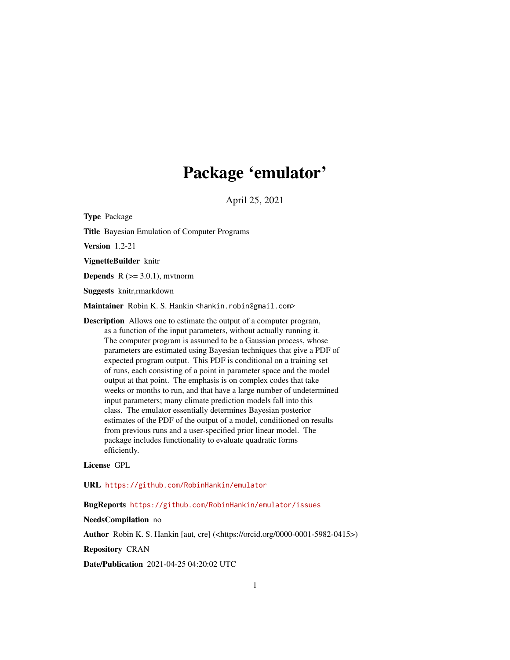# Package 'emulator'

April 25, 2021

<span id="page-0-0"></span>Type Package Title Bayesian Emulation of Computer Programs Version 1.2-21 VignetteBuilder knitr **Depends**  $R$  ( $>= 3.0.1$ ), mythorm Suggests knitr,rmarkdown Maintainer Robin K. S. Hankin <hankin.robin@gmail.com> Description Allows one to estimate the output of a computer program, as a function of the input parameters, without actually running it. The computer program is assumed to be a Gaussian process, whose parameters are estimated using Bayesian techniques that give a PDF of expected program output. This PDF is conditional on a training set of runs, each consisting of a point in parameter space and the model output at that point. The emphasis is on complex codes that take weeks or months to run, and that have a large number of undetermined input parameters; many climate prediction models fall into this class. The emulator essentially determines Bayesian posterior estimates of the PDF of the output of a model, conditioned on results from previous runs and a user-specified prior linear model. The package includes functionality to evaluate quadratic forms efficiently.

License GPL

URL <https://github.com/RobinHankin/emulator>

BugReports <https://github.com/RobinHankin/emulator/issues>

NeedsCompilation no

Author Robin K. S. Hankin [aut, cre] (<https://orcid.org/0000-0001-5982-0415>)

Repository CRAN

Date/Publication 2021-04-25 04:20:02 UTC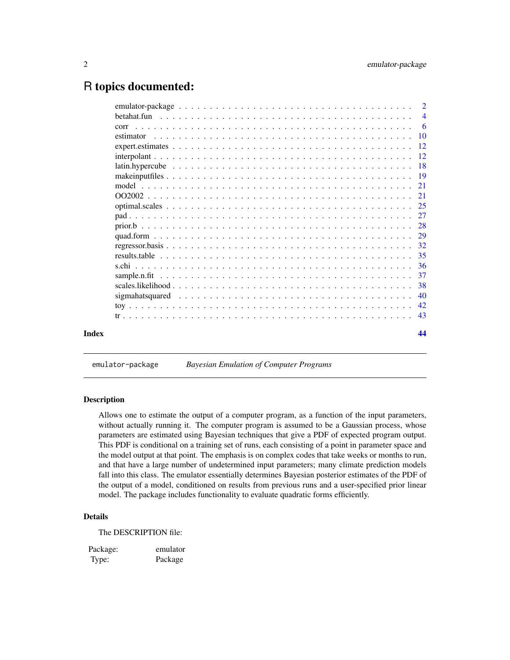# <span id="page-1-0"></span>R topics documented:

|           | $\overline{4}$ |
|-----------|----------------|
| corr      | - 6            |
| estimator |                |
|           |                |
|           |                |
|           |                |
|           |                |
|           |                |
|           |                |
|           |                |
|           |                |
|           |                |
|           |                |
|           |                |
|           |                |
|           |                |
|           |                |
|           |                |
|           | 40             |
|           |                |
|           |                |
|           | 44             |
|           |                |

emulator-package *Bayesian Emulation of Computer Programs*

#### Description

Allows one to estimate the output of a computer program, as a function of the input parameters, without actually running it. The computer program is assumed to be a Gaussian process, whose parameters are estimated using Bayesian techniques that give a PDF of expected program output. This PDF is conditional on a training set of runs, each consisting of a point in parameter space and the model output at that point. The emphasis is on complex codes that take weeks or months to run, and that have a large number of undetermined input parameters; many climate prediction models fall into this class. The emulator essentially determines Bayesian posterior estimates of the PDF of the output of a model, conditioned on results from previous runs and a user-specified prior linear model. The package includes functionality to evaluate quadratic forms efficiently.

#### Details

The DESCRIPTION file:

Package: emulator Type: Package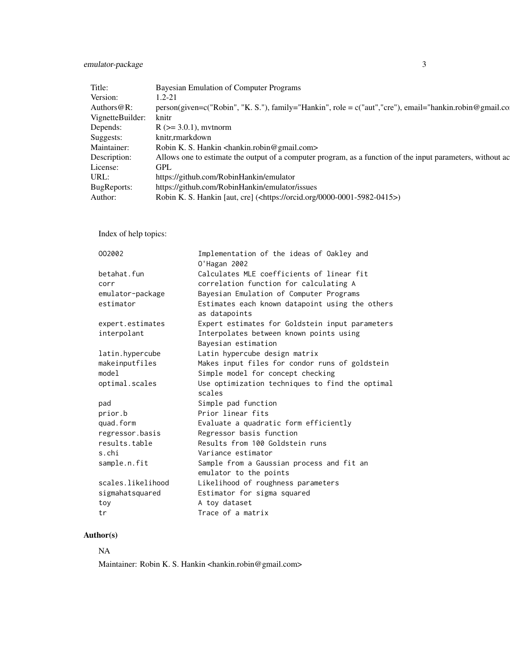# emulator-package 3

|                        | Bayesian Emulation of Computer Programs                                                                    |
|------------------------|------------------------------------------------------------------------------------------------------------|
|                        |                                                                                                            |
| uthors $@R$ :          | c("Robin", "K. S."), family="Hankin", role = c("aut","cre"), email="hankin.robin@gmail.co                  |
| VignetteBuilder: knitr |                                                                                                            |
|                        | $R$ ( $>=$ 3.0.1), mythorm                                                                                 |
|                        | knitr,rmarkdown                                                                                            |
|                        | Robin K. S. Hankin <hankin.robin@gmail.com></hankin.robin@gmail.com>                                       |
|                        | Allows one to estimate the output of a computer program, as a function of the input parameters, without ac |
|                        |                                                                                                            |
|                        | https://github.com/RobinHankin/emulator                                                                    |
| øRenorts:              | https://github.com/RobinHankin/emulator/issues                                                             |
|                        | Robin K. S. Hankin [aut, cre] ( <https: 0000-0001-5982-0415="" orcid.org="">)</https:>                     |

Index of help topics:

| 002002            | Implementation of the ideas of Oakley and<br>0'Hagan 2002           |
|-------------------|---------------------------------------------------------------------|
| betahat.fun       | Calculates MLE coefficients of linear fit                           |
| corr              | correlation function for calculating A                              |
| emulator-package  | Bayesian Emulation of Computer Programs                             |
| estimator         | Estimates each known datapoint using the others<br>as datapoints    |
| expert.estimates  | Expert estimates for Goldstein input parameters                     |
| interpolant       | Interpolates between known points using                             |
|                   | Bayesian estimation                                                 |
| latin.hypercube   | Latin hypercube design matrix                                       |
| makeinputfiles    | Makes input files for condor runs of goldstein                      |
| model             | Simple model for concept checking                                   |
| optimal.scales    | Use optimization techniques to find the optimal<br>scales           |
| pad               | Simple pad function                                                 |
| prior.b           | Prior linear fits                                                   |
| quad.form         | Evaluate a quadratic form efficiently                               |
| regressor.basis   | Regressor basis function                                            |
| results.table     | Results from 100 Goldstein runs                                     |
| s.chi             | Variance estimator                                                  |
| sample.n.fit      | Sample from a Gaussian process and fit an<br>emulator to the points |
| scales likelihood | Likelihood of roughness parameters                                  |
| sigmahatsquared   | Estimator for sigma squared                                         |
| toy               | A toy dataset                                                       |
| tr                | Trace of a matrix                                                   |

# Author(s)

# NA

Maintainer: Robin K. S. Hankin <hankin.robin@gmail.com>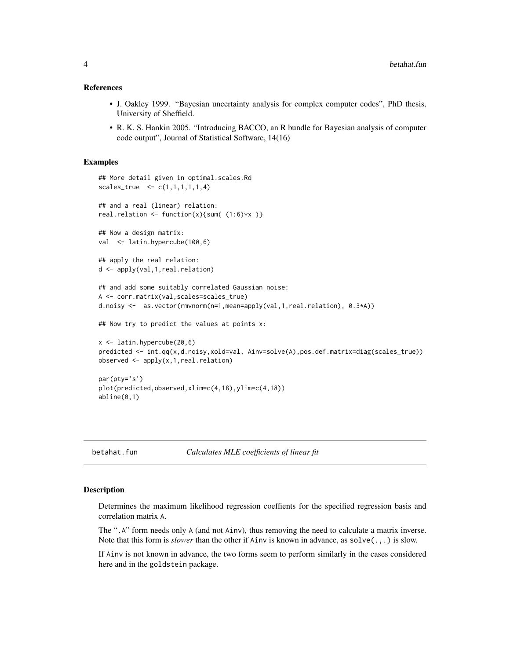#### <span id="page-3-0"></span>References

- J. Oakley 1999. "Bayesian uncertainty analysis for complex computer codes", PhD thesis, University of Sheffield.
- R. K. S. Hankin 2005. "Introducing BACCO, an R bundle for Bayesian analysis of computer code output", Journal of Statistical Software, 14(16)

#### Examples

```
## More detail given in optimal.scales.Rd
scales_{true} < c(1,1,1,1,1,4)## and a real (linear) relation:
real.relation \leftarrow function(x){sum( (1:6)*x )}
## Now a design matrix:
val <- latin.hypercube(100,6)
## apply the real relation:
d <- apply(val,1,real.relation)
## and add some suitably correlated Gaussian noise:
A <- corr.matrix(val,scales=scales_true)
d.noisy <- as.vector(rmvnorm(n=1,mean=apply(val,1,real.relation), 0.3*A))
## Now try to predict the values at points x:
x \leftarrow latin.hypercube(20,6)
predicted <- int.qq(x,d.noisy,xold=val, Ainv=solve(A),pos.def.matrix=diag(scales_true))
observed <- apply(x,1,real.relation)
par(pty='s')
plot(predicted,observed,xlim=c(4,18),ylim=c(4,18))
abline(0,1)
```
betahat.fun *Calculates MLE coefficients of linear fit*

# **Description**

Determines the maximum likelihood regression coeffients for the specified regression basis and correlation matrix A.

The ".A" form needs only A (and not Ainv), thus removing the need to calculate a matrix inverse. Note that this form is *slower* than the other if Ainv is known in advance, as solve(.,.) is slow.

If Ainv is not known in advance, the two forms seem to perform similarly in the cases considered here and in the goldstein package.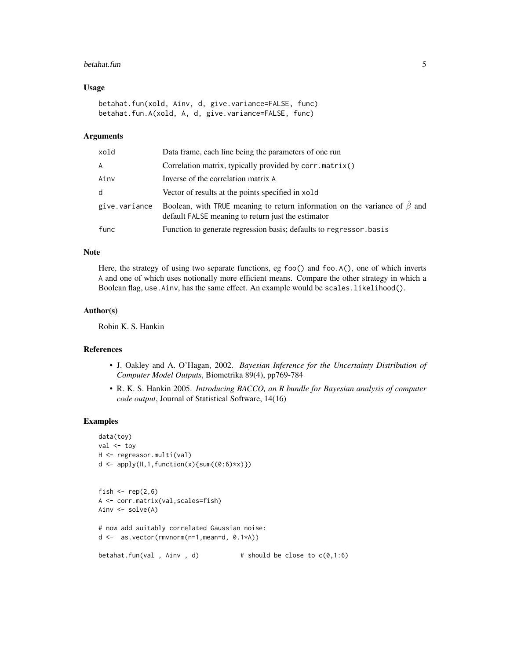#### betahat.fun 5

#### Usage

```
betahat.fun(xold, Ainv, d, give.variance=FALSE, func)
betahat.fun.A(xold, A, d, give.variance=FALSE, func)
```
#### Arguments

| xold          | Data frame, each line being the parameters of one run                                                                                 |
|---------------|---------------------------------------------------------------------------------------------------------------------------------------|
| A             | Correlation matrix, typically provided by corr.matrix()                                                                               |
| Ainv          | Inverse of the correlation matrix A                                                                                                   |
| d             | Vector of results at the points specified in xold                                                                                     |
| give.variance | Boolean, with TRUE meaning to return information on the variance of $\beta$ and<br>default FALSE meaning to return just the estimator |
| func          | Function to generate regression basis; defaults to regressor basis                                                                    |

# Note

Here, the strategy of using two separate functions, eg foo() and foo.A(), one of which inverts A and one of which uses notionally more efficient means. Compare the other strategy in which a Boolean flag, use.Ainv, has the same effect. An example would be scales.likelihood().

# Author(s)

Robin K. S. Hankin

#### References

- J. Oakley and A. O'Hagan, 2002. *Bayesian Inference for the Uncertainty Distribution of Computer Model Outputs*, Biometrika 89(4), pp769-784
- R. K. S. Hankin 2005. *Introducing BACCO, an R bundle for Bayesian analysis of computer code output*, Journal of Statistical Software, 14(16)

#### Examples

```
data(toy)
val <- toy
H <- regressor.multi(val)
d \leq apply(H,1, function(x){sum((0:6)*x)})
fish \le rep(2,6)
A <- corr.matrix(val,scales=fish)
Ainv <- solve(A)
# now add suitably correlated Gaussian noise:
d <- as.vector(rmvnorm(n=1,mean=d, 0.1*A))
betahat.fun(val , Ainv , d) \# should be close to c(0,1:6)
```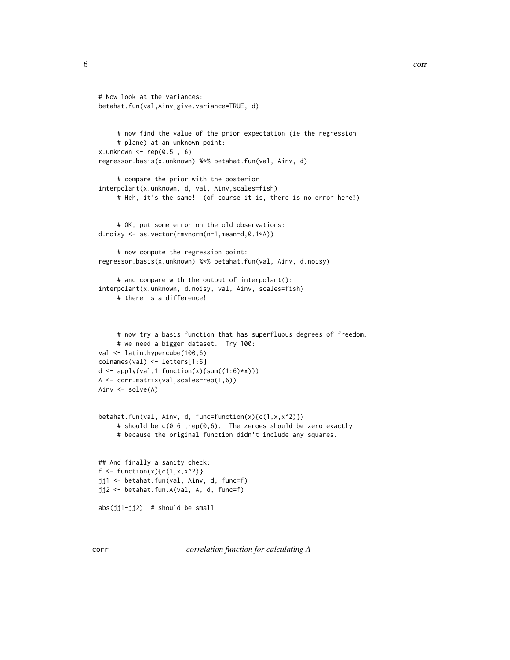```
6 correction to the correction of the correction of the correction of the correction of the correction of the correction of the correction of the correction of the correction of the correction of the correction of the corr
```

```
# Now look at the variances:
betahat.fun(val,Ainv,give.variance=TRUE, d)
     # now find the value of the prior expectation (ie the regression
     # plane) at an unknown point:
x.unknown <- rep(0.5, 6)regressor.basis(x.unknown) %*% betahat.fun(val, Ainv, d)
     # compare the prior with the posterior
interpolant(x.unknown, d, val, Ainv,scales=fish)
     # Heh, it's the same! (of course it is, there is no error here!)
     # OK, put some error on the old observations:
d.noisy <- as.vector(rmvnorm(n=1,mean=d,0.1*A))
     # now compute the regression point:
regressor.basis(x.unknown) %*% betahat.fun(val, Ainv, d.noisy)
     # and compare with the output of interpolant():
interpolant(x.unknown, d.noisy, val, Ainv, scales=fish)
     # there is a difference!
     # now try a basis function that has superfluous degrees of freedom.
     # we need a bigger dataset. Try 100:
val <- latin.hypercube(100,6)
colnames(val) <- letters[1:6]
d \leftarrow apply(val, 1, function(x) \{sum((1:6)*x)\})A <- corr.matrix(val,scales=rep(1,6))
Ainv <- solve(A)
betahat.fun(val, Ainv, d, func=function(x){c(1,x,x^2)})
     # should be c(0:6 ,rep(0,6). The zeroes should be zero exactly
     # because the original function didn't include any squares.
## And finally a sanity check:
f <- function(x){c(1, x, x^2)}
jj1 <- betahat.fun(val, Ainv, d, func=f)
jj2 <- betahat.fun.A(val, A, d, func=f)
abs(jj1-jj2) # should be small
```
<span id="page-5-1"></span>corr *correlation function for calculating A*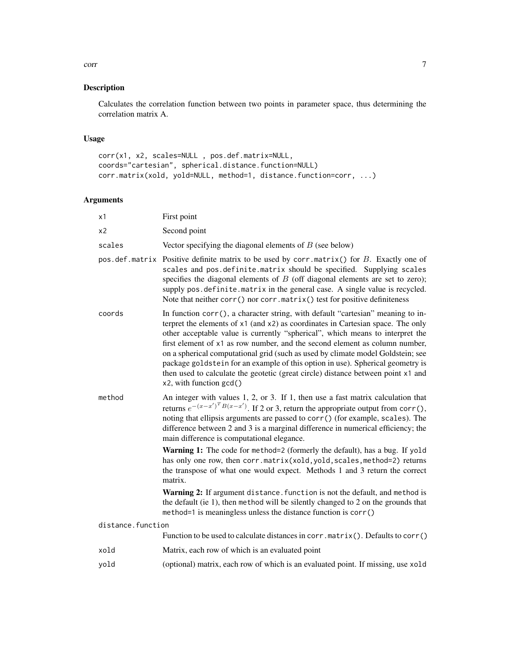#### corr 7 and 2008 and 2008 and 2008 and 2008 and 2008 and 2008 and 2008 and 2008 and 2008 and 2008 and 2008 and 2008 and 2008 and 2008 and 2008 and 2008 and 2008 and 2008 and 2008 and 2008 and 2008 and 2008 and 2008 and 2008

# Description

Calculates the correlation function between two points in parameter space, thus determining the correlation matrix A.

# Usage

```
corr(x1, x2, scales=NULL , pos.def.matrix=NULL,
coords="cartesian", spherical.distance.function=NULL)
corr.matrix(xold, yold=NULL, method=1, distance.function=corr, ...)
```
# Arguments

| х1                | First point                                                                                                                                                                                                                                                                                                                                                                                                                                                                                                                                                                                                            |
|-------------------|------------------------------------------------------------------------------------------------------------------------------------------------------------------------------------------------------------------------------------------------------------------------------------------------------------------------------------------------------------------------------------------------------------------------------------------------------------------------------------------------------------------------------------------------------------------------------------------------------------------------|
| x2                | Second point                                                                                                                                                                                                                                                                                                                                                                                                                                                                                                                                                                                                           |
| scales            | Vector specifying the diagonal elements of $B$ (see below)                                                                                                                                                                                                                                                                                                                                                                                                                                                                                                                                                             |
|                   | pos. def. matrix Positive definite matrix to be used by corr. matrix() for $B$ . Exactly one of<br>scales and pos.definite.matrix should be specified. Supplying scales<br>specifies the diagonal elements of $B$ (off diagonal elements are set to zero);<br>supply pos.definite.matrix in the general case. A single value is recycled.<br>Note that neither corr() nor corr.matrix() test for positive definiteness                                                                                                                                                                                                 |
| coords            | In function corr(), a character string, with default "cartesian" meaning to in-<br>terpret the elements of x1 (and x2) as coordinates in Cartesian space. The only<br>other acceptable value is currently "spherical", which means to interpret the<br>first element of x1 as row number, and the second element as column number,<br>on a spherical computational grid (such as used by climate model Goldstein; see<br>package goldstein for an example of this option in use). Spherical geometry is<br>then used to calculate the geotetic (great circle) distance between point x1 and<br>x2, with function gcd() |
| method            | An integer with values 1, 2, or 3. If 1, then use a fast matrix calculation that<br>returns $e^{-(x-x')^T B(x-x')}$ . If 2 or 3, return the appropriate output from corr(),<br>noting that ellipsis arguments are passed to corr() (for example, scales). The<br>difference between 2 and 3 is a marginal difference in numerical efficiency; the<br>main difference is computational elegance.                                                                                                                                                                                                                        |
|                   | Warning 1: The code for method=2 (formerly the default), has a bug. If yold<br>has only one row, then corr.matrix(xold, yold, scales, method=2) returns<br>the transpose of what one would expect. Methods 1 and 3 return the correct<br>matrix.                                                                                                                                                                                                                                                                                                                                                                       |
|                   | Warning 2: If argument distance. function is not the default, and method is<br>the default (ie 1), then method will be silently changed to 2 on the grounds that<br>method=1 is meaningless unless the distance function is corr()                                                                                                                                                                                                                                                                                                                                                                                     |
| distance.function |                                                                                                                                                                                                                                                                                                                                                                                                                                                                                                                                                                                                                        |
|                   | Function to be used to calculate distances in corr.matrix(). Defaults to corr()                                                                                                                                                                                                                                                                                                                                                                                                                                                                                                                                        |
| xold              | Matrix, each row of which is an evaluated point                                                                                                                                                                                                                                                                                                                                                                                                                                                                                                                                                                        |
| yold              | (optional) matrix, each row of which is an evaluated point. If missing, use xold                                                                                                                                                                                                                                                                                                                                                                                                                                                                                                                                       |
|                   |                                                                                                                                                                                                                                                                                                                                                                                                                                                                                                                                                                                                                        |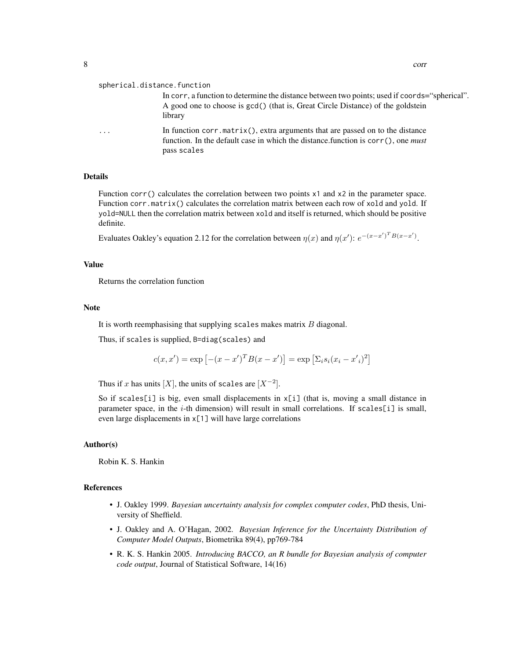#### spherical.distance.function

In corr, a function to determine the distance between two points; used if coords="spherical". A good one to choose is gcd() (that is, Great Circle Distance) of the goldstein library

In function corr.matrix(), extra arguments that are passed on to the distance function. In the default case in which the distance.function is corr(), one *must* pass scales

#### Details

Function corr() calculates the correlation between two points x1 and x2 in the parameter space. Function corr.matrix() calculates the correlation matrix between each row of xold and yold. If yold=NULL then the correlation matrix between xold and itself is returned, which should be positive definite.

Evaluates Oakley's equation 2.12 for the correlation between  $\eta(x)$  and  $\eta(x')$ :  $e^{-(x-x')^T B(x-x')}$ .

#### Value

Returns the correlation function

#### Note

It is worth reemphasising that supplying scales makes matrix  $B$  diagonal.

Thus, if scales is supplied, B=diag(scales) and

$$
c(x, x') = \exp [-(x - x')^{T} B(x - x')] = \exp [\Sigma_{i} s_{i} (x_{i} - x'_{i})^{2}]
$$

Thus if x has units  $[X]$ , the units of scales are  $[X^{-2}]$ .

So if scales[i] is big, even small displacements in x[i] (that is, moving a small distance in parameter space, in the i-th dimension) will result in small correlations. If scales[i] is small, even large displacements in x[1] will have large correlations

#### Author(s)

Robin K. S. Hankin

#### References

- J. Oakley 1999. *Bayesian uncertainty analysis for complex computer codes*, PhD thesis, University of Sheffield.
- J. Oakley and A. O'Hagan, 2002. *Bayesian Inference for the Uncertainty Distribution of Computer Model Outputs*, Biometrika 89(4), pp769-784
- R. K. S. Hankin 2005. *Introducing BACCO, an R bundle for Bayesian analysis of computer code output*, Journal of Statistical Software, 14(16)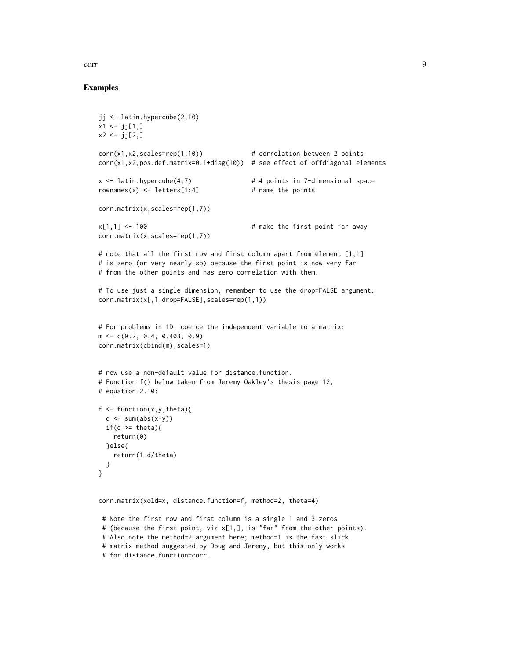# Examples

```
jj <- latin.hypercube(2,10)
x1 \leftarrow j[1,]x2 < - jj[2,]corr(x1,x2,scales=rep(1,10)) # correlation between 2 points
corr(x1,x2,pos.def.matrix=0.1+diag(10)) # see effect of offdiagonal elements
x <- latin.hypercube(4,7) # 4 points in 7-dimensional space
rownames(x) <- letters[1:4] # name the points
corr.matrix(x,scales=rep(1,7))
x[1,1] <- 100 x[1,1] <- 100
corr.matrix(x,scales=rep(1,7))
# note that all the first row and first column apart from element [1,1]
# is zero (or very nearly so) because the first point is now very far
# from the other points and has zero correlation with them.
# To use just a single dimension, remember to use the drop=FALSE argument:
corr.matrix(x[,1,drop=FALSE],scales=rep(1,1))
# For problems in 1D, coerce the independent variable to a matrix:
m <- c(0.2, 0.4, 0.403, 0.9)
corr.matrix(cbind(m),scales=1)
# now use a non-default value for distance.function.
# Function f() below taken from Jeremy Oakley's thesis page 12,
# equation 2.10:
f \leftarrow function(x, y, theta){
 d \le -\text{sum}(\text{abs}(x-y))if(d \geq theta)return(0)
 }else{
   return(1-d/theta)
 }
}
corr.matrix(xold=x, distance.function=f, method=2, theta=4)
# Note the first row and first column is a single 1 and 3 zeros
# (because the first point, viz x[1,], is "far" from the other points).
```
# Also note the method=2 argument here; method=1 is the fast slick

# matrix method suggested by Doug and Jeremy, but this only works

# for distance.function=corr.

corr  $\sim$  9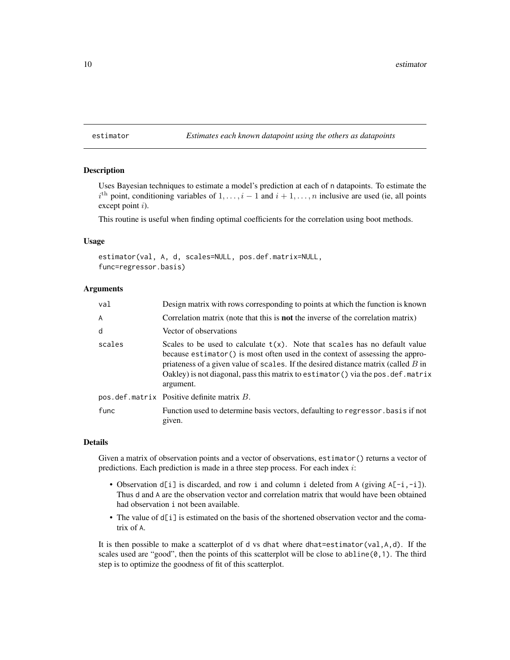#### <span id="page-9-0"></span>estimator *Estimates each known datapoint using the others as datapoints*

#### **Description**

Uses Bayesian techniques to estimate a model's prediction at each of n datapoints. To estimate the  $i<sup>th</sup>$  point, conditioning variables of  $1, \ldots, i-1$  and  $i+1, \ldots, n$  inclusive are used (ie, all points except point *i*).

This routine is useful when finding optimal coefficients for the correlation using boot methods.

#### Usage

estimator(val, A, d, scales=NULL, pos.def.matrix=NULL, func=regressor.basis)

# Arguments

| val    | Design matrix with rows corresponding to points at which the function is known                                                                                                                                                                                                                                                                             |
|--------|------------------------------------------------------------------------------------------------------------------------------------------------------------------------------------------------------------------------------------------------------------------------------------------------------------------------------------------------------------|
| A      | Correlation matrix (note that this is <b>not</b> the inverse of the correlation matrix)                                                                                                                                                                                                                                                                    |
| d      | Vector of observations                                                                                                                                                                                                                                                                                                                                     |
| scales | Scales to be used to calculate $t(x)$ . Note that scales has no default value<br>because estimator () is most often used in the context of assessing the appro-<br>priateness of a given value of scales. If the desired distance matrix (called $B$ in<br>Oakley) is not diagonal, pass this matrix to estimator () via the pos. def. matrix<br>argument. |
|        | $pos. def.matrix$ Positive definite matrix $B$ .                                                                                                                                                                                                                                                                                                           |
| func   | Function used to determine basis vectors, defaulting to regressor basis if not<br>given.                                                                                                                                                                                                                                                                   |

#### Details

Given a matrix of observation points and a vector of observations, estimator() returns a vector of predictions. Each prediction is made in a three step process. For each index i:

- Observation  $d[i]$  is discarded, and row i and column i deleted from A (giving  $A[-i, -i]$ ). Thus d and A are the observation vector and correlation matrix that would have been obtained had observation i not been available.
- The value of d[i] is estimated on the basis of the shortened observation vector and the comatrix of A.

It is then possible to make a scatterplot of d vs dhat where dhat=estimator(val,A,d). If the scales used are "good", then the points of this scatterplot will be close to abline( $0,1$ ). The third step is to optimize the goodness of fit of this scatterplot.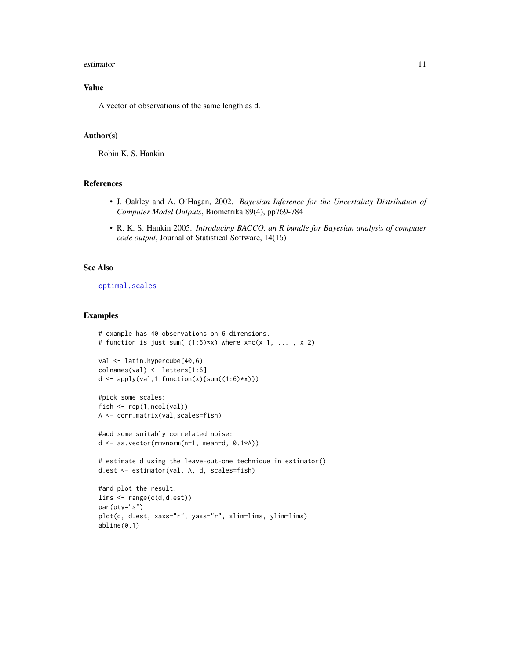#### <span id="page-10-0"></span>estimator 11

# Value

A vector of observations of the same length as d.

#### Author(s)

Robin K. S. Hankin

# References

- J. Oakley and A. O'Hagan, 2002. *Bayesian Inference for the Uncertainty Distribution of Computer Model Outputs*, Biometrika 89(4), pp769-784
- R. K. S. Hankin 2005. *Introducing BACCO, an R bundle for Bayesian analysis of computer code output*, Journal of Statistical Software, 14(16)

#### See Also

[optimal.scales](#page-24-1)

# Examples

```
# example has 40 observations on 6 dimensions.
# function is just sum((1:6)*x) where x=c(x_1, \ldots, x_2)val <- latin.hypercube(40,6)
colnames(val) <- letters[1:6]
d \leftarrow apply(val, 1, function(x) \{sum(1:6) * x)\})#pick some scales:
fish <- rep(1,ncol(val))
A <- corr.matrix(val,scales=fish)
#add some suitably correlated noise:
d <- as.vector(rmvnorm(n=1, mean=d, 0.1*A))
# estimate d using the leave-out-one technique in estimator():
d.est <- estimator(val, A, d, scales=fish)
#and plot the result:
lims <- range(c(d,d.est))
par(pty="s")
plot(d, d.est, xaxs="r", yaxs="r", xlim=lims, ylim=lims)
```
abline(0,1)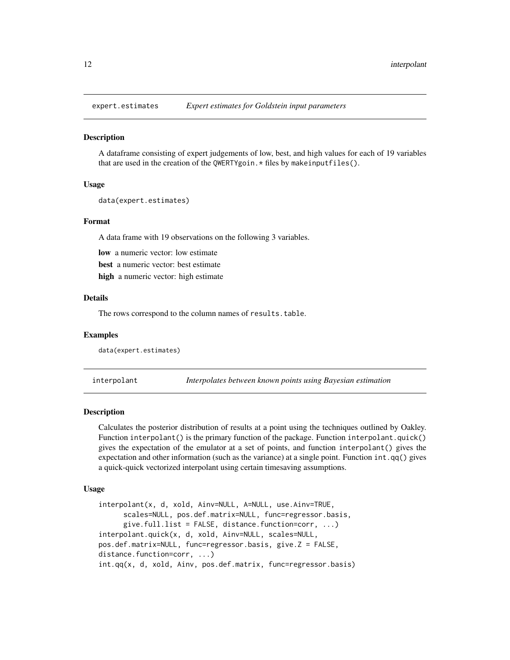<span id="page-11-1"></span><span id="page-11-0"></span>

# Description

A dataframe consisting of expert judgements of low, best, and high values for each of 19 variables that are used in the creation of the QWERTYgoin. \* files by makeinputfiles().

#### Usage

```
data(expert.estimates)
```
#### Format

A data frame with 19 observations on the following 3 variables.

low a numeric vector: low estimate

best a numeric vector: best estimate

high a numeric vector: high estimate

# Details

The rows correspond to the column names of results.table.

# Examples

data(expert.estimates)

<span id="page-11-2"></span>interpolant *Interpolates between known points using Bayesian estimation*

# Description

Calculates the posterior distribution of results at a point using the techniques outlined by Oakley. Function interpolant() is the primary function of the package. Function interpolant.quick() gives the expectation of the emulator at a set of points, and function interpolant() gives the expectation and other information (such as the variance) at a single point. Function int.qq() gives a quick-quick vectorized interpolant using certain timesaving assumptions.

#### Usage

```
interpolant(x, d, xold, Ainv=NULL, A=NULL, use.Ainv=TRUE,
     scales=NULL, pos.def.matrix=NULL, func=regressor.basis,
     give.full.list = FALSE, distance.function=corr, \dots)
interpolant.quick(x, d, xold, Ainv=NULL, scales=NULL,
pos.def.matrix=NULL, func=regressor.basis, give.Z = FALSE,
distance.function=corr, ...)
int.qq(x, d, xold, Ainv, pos.def.matrix, func=regressor.basis)
```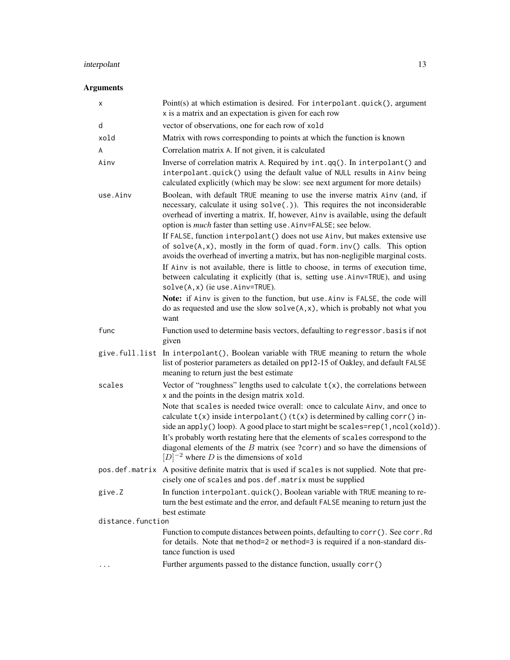# interpolant 13

# Arguments

| х                 | Point(s) at which estimation is desired. For interpolant.quick(), argument<br>x is a matrix and an expectation is given for each row                                                                                                                                                                                                                                                                                                                                         |  |
|-------------------|------------------------------------------------------------------------------------------------------------------------------------------------------------------------------------------------------------------------------------------------------------------------------------------------------------------------------------------------------------------------------------------------------------------------------------------------------------------------------|--|
| d                 | vector of observations, one for each row of xold                                                                                                                                                                                                                                                                                                                                                                                                                             |  |
| xold              | Matrix with rows corresponding to points at which the function is known                                                                                                                                                                                                                                                                                                                                                                                                      |  |
| A                 | Correlation matrix A. If not given, it is calculated                                                                                                                                                                                                                                                                                                                                                                                                                         |  |
| Ainv              | Inverse of correlation matrix A. Required by int.qq(). In interpolant() and<br>interpolant.quick() using the default value of NULL results in Ainv being<br>calculated explicitly (which may be slow: see next argument for more details)                                                                                                                                                                                                                                    |  |
| use.Ainv          | Boolean, with default TRUE meaning to use the inverse matrix Ainv (and, if<br>necessary, calculate it using solve(.)). This requires the not inconsiderable<br>overhead of inverting a matrix. If, however, Ainv is available, using the default<br>option is <i>much</i> faster than setting use. Ainv=FALSE; see below.                                                                                                                                                    |  |
|                   | If FALSE, function interpolant () does not use Ainv, but makes extensive use<br>of $solve(A, x)$ , mostly in the form of quad. form. $inv()$ calls. This option<br>avoids the overhead of inverting a matrix, but has non-negligible marginal costs.                                                                                                                                                                                                                         |  |
|                   | If Ainv is not available, there is little to choose, in terms of execution time,<br>between calculating it explicitly (that is, setting use Ainv=TRUE), and using<br>$solve(A, x)$ (ie use. Ainv=TRUE).                                                                                                                                                                                                                                                                      |  |
|                   | Note: if Ainv is given to the function, but use Ainv is FALSE, the code will<br>do as requested and use the slow $solve(A, x)$ , which is probably not what you<br>want                                                                                                                                                                                                                                                                                                      |  |
| func              | Function used to determine basis vectors, defaulting to regressor. basis if not<br>given                                                                                                                                                                                                                                                                                                                                                                                     |  |
|                   | give.full.list In interpolant(), Boolean variable with TRUE meaning to return the whole<br>list of posterior parameters as detailed on pp12-15 of Oakley, and default FALSE<br>meaning to return just the best estimate                                                                                                                                                                                                                                                      |  |
| scales            | Vector of "roughness" lengths used to calculate $t(x)$ , the correlations between<br>x and the points in the design matrix xold.                                                                                                                                                                                                                                                                                                                                             |  |
|                   | Note that scales is needed twice overall: once to calculate Ainv, and once to<br>calculate $t(x)$ inside interpolant() $(t(x))$ is determined by calling corr() in-<br>side an apply() loop). A good place to start might be scales=rep(1, ncol(xold)).<br>It's probably worth restating here that the elements of scales correspond to the<br>diagonal elements of the $B$ matrix (see ?corr) and so have the dimensions of<br>$[D]^{-2}$ where D is the dimensions of xold |  |
|                   | pos.def.matrix A positive definite matrix that is used if scales is not supplied. Note that pre-<br>cisely one of scales and pos.def.matrix must be supplied                                                                                                                                                                                                                                                                                                                 |  |
| give.Z            | In function interpolant.quick(), Boolean variable with TRUE meaning to re-<br>turn the best estimate and the error, and default FALSE meaning to return just the<br>best estimate                                                                                                                                                                                                                                                                                            |  |
| distance.function |                                                                                                                                                                                                                                                                                                                                                                                                                                                                              |  |
|                   | Function to compute distances between points, defaulting to corr (). See corr. Rd<br>for details. Note that method=2 or method=3 is required if a non-standard dis-<br>tance function is used                                                                                                                                                                                                                                                                                |  |
|                   | Further arguments passed to the distance function, usually corr()                                                                                                                                                                                                                                                                                                                                                                                                            |  |
|                   |                                                                                                                                                                                                                                                                                                                                                                                                                                                                              |  |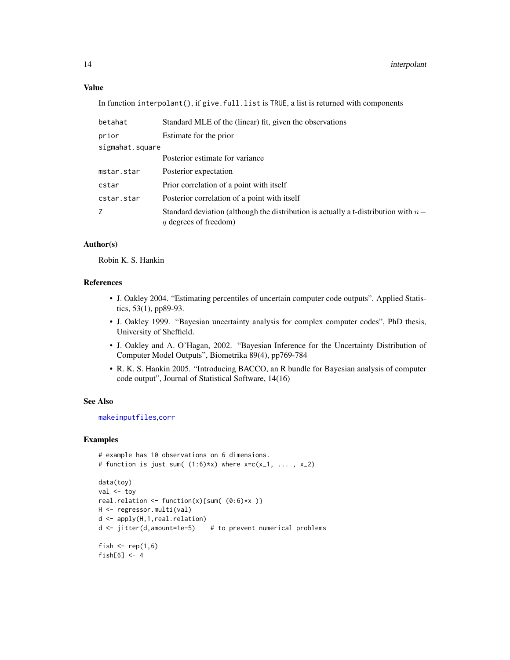# Value

In function interpolant(), if give.full.list is TRUE, a list is returned with components

| betahat         | Standard MLE of the (linear) fit, given the observations                                                      |
|-----------------|---------------------------------------------------------------------------------------------------------------|
| prior           | Estimate for the prior                                                                                        |
| sigmahat.square |                                                                                                               |
|                 | Posterior estimate for variance                                                                               |
| mstar.star      | Posterior expectation                                                                                         |
| cstar           | Prior correlation of a point with itself                                                                      |
| cstar.star      | Posterior correlation of a point with itself                                                                  |
| Ζ               | Standard deviation (although the distribution is actually a t-distribution with $n-$<br>q degrees of freedom) |

#### Author(s)

Robin K. S. Hankin

#### References

- J. Oakley 2004. "Estimating percentiles of uncertain computer code outputs". Applied Statistics, 53(1), pp89-93.
- J. Oakley 1999. "Bayesian uncertainty analysis for complex computer codes", PhD thesis, University of Sheffield.
- J. Oakley and A. O'Hagan, 2002. "Bayesian Inference for the Uncertainty Distribution of Computer Model Outputs", Biometrika 89(4), pp769-784
- R. K. S. Hankin 2005. "Introducing BACCO, an R bundle for Bayesian analysis of computer code output", Journal of Statistical Software, 14(16)

#### See Also

[makeinputfiles](#page-18-1),[corr](#page-5-1)

# Examples

```
# example has 10 observations on 6 dimensions.
# function is just sum((1:6)*x) where x=c(x_1, \ldots, x_2)data(toy)
val <- toy
real.relation \le function(x){sum( (0:6)*x )}
H <- regressor.multi(val)
d <- apply(H,1,real.relation)
d <- jitter(d,amount=1e-5) # to prevent numerical problems
fish \leq rep(1,6)
fish[6] <-4
```
<span id="page-13-0"></span>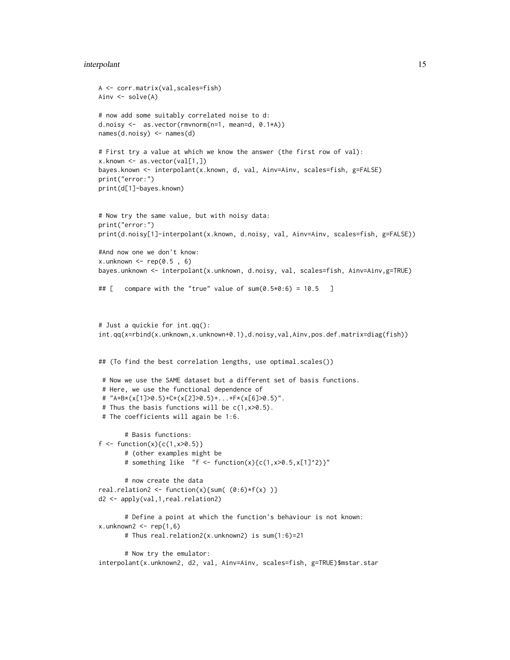#### interpolant 15

```
A <- corr.matrix(val,scales=fish)
Ainv <- solve(A)
# now add some suitably correlated noise to d:
d.noisy <- as.vector(rmvnorm(n=1, mean=d, 0.1*A))
names(d.noisy) <- names(d)
# First try a value at which we know the answer (the first row of val):
x.known <- as.vector(val[1,])
bayes.known <- interpolant(x.known, d, val, Ainv=Ainv, scales=fish, g=FALSE)
print("error:")
print(d[1]-bayes.known)
# Now try the same value, but with noisy data:
print("error:")
print(d.noisy[1]-interpolant(x.known, d.noisy, val, Ainv=Ainv, scales=fish, g=FALSE))
#And now one we don't know:
x.unknown \leq rep(0.5, 6)
bayes.unknown <- interpolant(x.unknown, d.noisy, val, scales=fish, Ainv=Ainv,g=TRUE)
## [ compare with the "true" value of sum(0.5*0:6) = 10.5 ]
# Just a quickie for int.qq():
int.qq(x=rbind(x.unknown,x.unknown+0.1),d.noisy,val,Ainv,pos.def.matrix=diag(fish))
## (To find the best correlation lengths, use optimal.scales())
 # Now we use the SAME dataset but a different set of basis functions.
 # Here, we use the functional dependence of
 # "A+B*(x[1]>0.5)+C*(x[2]>0.5)+...+F*(x[6]>0.5)".
 # Thus the basis functions will be c(1, x>0.5).
 # The coefficients will again be 1:6.
       # Basis functions:
f <- function(x){c(1, x > 0.5)}
       # (other examples might be
       # something like "f <- function(x){c(1,x>0.5,x[1]^2)}"
       # now create the data
real.relation2 <- function(x){sum((0:6)*f(x))}
d2 <- apply(val,1,real.relation2)
       # Define a point at which the function's behaviour is not known:
x.unknown2 < - rep(1, 6)# Thus real.relation2(x.unknown2) is sum(1:6)=21
       # Now try the emulator:
interpolant(x.unknown2, d2, val, Ainv=Ainv, scales=fish, g=TRUE)$mstar.star
```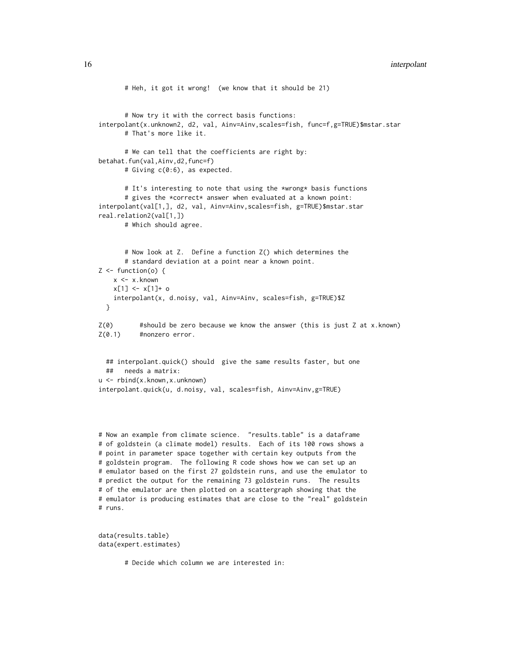#### 16 interpolant and the set of the set of the set of the set of the set of the set of the set of the set of the set of the set of the set of the set of the set of the set of the set of the set of the set of the set of the s

```
# Heh, it got it wrong! (we know that it should be 21)
      # Now try it with the correct basis functions:
interpolant(x.unknown2, d2, val, Ainv=Ainv,scales=fish, func=f,g=TRUE)$mstar.star
      # That's more like it.
      # We can tell that the coefficients are right by:
betahat.fun(val,Ainv,d2,func=f)
      # Giving c(0:6), as expected.
      # It's interesting to note that using the *wrong* basis functions
      # gives the *correct* answer when evaluated at a known point:
interpolant(val[1,], d2, val, Ainv=Ainv,scales=fish, g=TRUE)$mstar.star
real.relation2(val[1,])
      # Which should agree.
      # Now look at Z. Define a function Z() which determines the
      # standard deviation at a point near a known point.
Z \leftarrow function(o) {
    x <- x.known
   x[1] <- x[1]+0interpolant(x, d.noisy, val, Ainv=Ainv, scales=fish, g=TRUE)$Z
 }
Z(\emptyset) #should be zero because we know the answer (this is just Z at x.known)
Z(0.1) #nonzero error.
 ## interpolant.quick() should give the same results faster, but one
 ## needs a matrix:
u <- rbind(x.known,x.unknown)
interpolant.quick(u, d.noisy, val, scales=fish, Ainv=Ainv,g=TRUE)
# Now an example from climate science. "results.table" is a dataframe
# of goldstein (a climate model) results. Each of its 100 rows shows a
```
# point in parameter space together with certain key outputs from the # goldstein program. The following R code shows how we can set up an # emulator based on the first 27 goldstein runs, and use the emulator to # predict the output for the remaining 73 goldstein runs. The results # of the emulator are then plotted on a scattergraph showing that the # emulator is producing estimates that are close to the "real" goldstein # runs.

```
data(results.table)
data(expert.estimates)
```
# Decide which column we are interested in: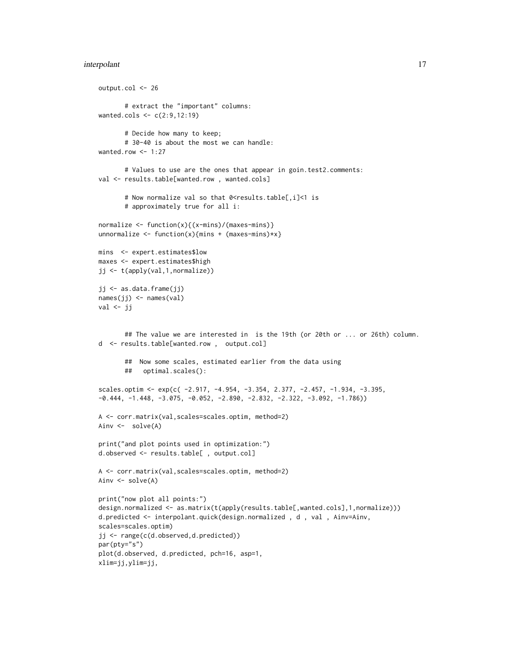#### interpolant 17

```
output.col <- 26
       # extract the "important" columns:
wanted.cols <- c(2:9,12:19)
       # Decide how many to keep;
       # 30-40 is about the most we can handle:
wanted.row <- 1:27
       # Values to use are the ones that appear in goin.test2.comments:
val <- results.table[wanted.row, wanted.cols]
       # Now normalize val so that 0<results.table[,i]<1 is
       # approximately true for all i:
normalize <- function(x){(x-mins)/(maxes-mins)}
unnormalize \leq function(x){mins + (maxes-mins)*x}
mins <- expert.estimates$low
maxes <- expert.estimates$high
jj <- t(apply(val,1,normalize))
jj <- as.data.frame(jj)
names(jj) <- names(val)
val \leftarrow jj## The value we are interested in is the 19th (or 20th or ... or 26th) column.
d <- results.table[wanted.row , output.col]
       ## Now some scales, estimated earlier from the data using
       ## optimal.scales():
scales.optim <- exp(c( -2.917, -4.954, -3.354, 2.377, -2.457, -1.934, -3.395,
-0.444, -1.448, -3.075, -0.052, -2.890, -2.832, -2.322, -3.092, -1.786)A <- corr.matrix(val,scales=scales.optim, method=2)
Ainv <- solve(A)
print("and plot points used in optimization:")
d.observed <- results.table[ , output.col]
A <- corr.matrix(val,scales=scales.optim, method=2)
Ainv <- solve(A)
print("now plot all points:")
design.normalized <- as.matrix(t(apply(results.table[,wanted.cols],1,normalize)))
d.predicted <- interpolant.quick(design.normalized , d , val , Ainv=Ainv,
scales=scales.optim)
jj <- range(c(d.observed,d.predicted))
par(pty="s")
plot(d.observed, d.predicted, pch=16, asp=1,
xlim=jj,ylim=jj,
```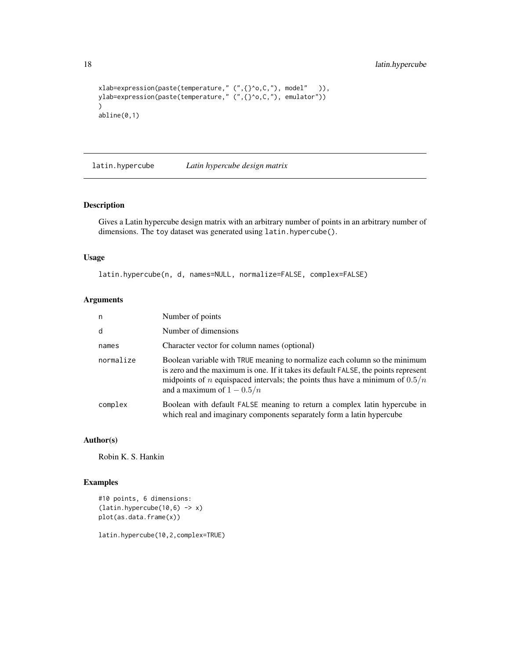```
xlab=expression(paste(temperature," (",{}^o,C,"), model" )),
ylab=expression(paste(temperature," (",{}^o,C,"), emulator"))
)
abline(0,1)
```
latin.hypercube *Latin hypercube design matrix*

# Description

Gives a Latin hypercube design matrix with an arbitrary number of points in an arbitrary number of dimensions. The toy dataset was generated using latin.hypercube().

#### Usage

latin.hypercube(n, d, names=NULL, normalize=FALSE, complex=FALSE)

### Arguments

| n         | Number of points                                                                                                                                                                                                                                                                           |
|-----------|--------------------------------------------------------------------------------------------------------------------------------------------------------------------------------------------------------------------------------------------------------------------------------------------|
| d         | Number of dimensions                                                                                                                                                                                                                                                                       |
| names     | Character vector for column names (optional)                                                                                                                                                                                                                                               |
| normalize | Boolean variable with TRUE meaning to normalize each column so the minimum<br>is zero and the maximum is one. If it takes its default FALSE, the points represent<br>midpoints of <i>n</i> equispaced intervals; the points thus have a minimum of $0.5/n$<br>and a maximum of $1 - 0.5/n$ |
| complex   | Boolean with default FALSE meaning to return a complex latin hypercube in<br>which real and imaginary components separately form a latin hypercube                                                                                                                                         |

#### Author(s)

Robin K. S. Hankin

# Examples

#10 points, 6 dimensions:  $(latin.hypercube(10,6) \rightarrow x)$ plot(as.data.frame(x))

latin.hypercube(10,2,complex=TRUE)

<span id="page-17-0"></span>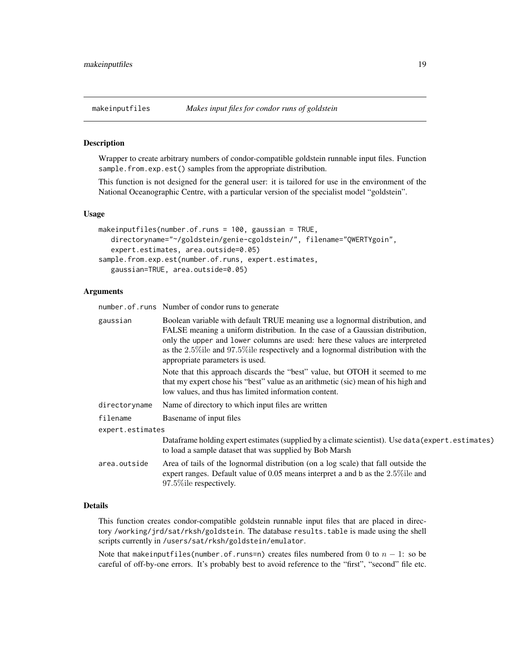#### <span id="page-18-1"></span><span id="page-18-0"></span>Description

Wrapper to create arbitrary numbers of condor-compatible goldstein runnable input files. Function sample.from.exp.est() samples from the appropriate distribution.

This function is not designed for the general user: it is tailored for use in the environment of the National Oceanographic Centre, with a particular version of the specialist model "goldstein".

#### Usage

```
makeinputfiles(number.of.runs = 100, gaussian = TRUE,
   directoryname="~/goldstein/genie-cgoldstein/", filename="QWERTYgoin",
   expert.estimates, area.outside=0.05)
sample.from.exp.est(number.of.runs, expert.estimates,
   gaussian=TRUE, area.outside=0.05)
```
# Arguments

number.of.runs Number of condor runs to generate

| gaussian         | Boolean variable with default TRUE meaning use a lognormal distribution, and<br>FALSE meaning a uniform distribution. In the case of a Gaussian distribution,<br>only the upper and lower columns are used: here these values are interpreted<br>as the $2.5\%$ ile and 97.5% ile respectively and a lognormal distribution with the<br>appropriate parameters is used. |
|------------------|-------------------------------------------------------------------------------------------------------------------------------------------------------------------------------------------------------------------------------------------------------------------------------------------------------------------------------------------------------------------------|
|                  | Note that this approach discards the "best" value, but OTOH it seemed to me<br>that my expert chose his "best" value as an arithmetic (sic) mean of his high and<br>low values, and thus has limited information content.                                                                                                                                               |
| directoryname    | Name of directory to which input files are written                                                                                                                                                                                                                                                                                                                      |
| filename         | Basename of input files                                                                                                                                                                                                                                                                                                                                                 |
| expert.estimates |                                                                                                                                                                                                                                                                                                                                                                         |
|                  | Data frame holding expert estimates (supplied by a climate scientist). Use data (expert.estimates)<br>to load a sample dataset that was supplied by Bob Marsh                                                                                                                                                                                                           |
| area.outside     | Area of tails of the lognormal distribution (on a log scale) that fall outside the<br>expert ranges. Default value of $0.05$ means interpret a and b as the $2.5\%$ ile and<br>97.5% ile respectively.                                                                                                                                                                  |

#### Details

This function creates condor-compatible goldstein runnable input files that are placed in directory /working/jrd/sat/rksh/goldstein. The database results.table is made using the shell scripts currently in /users/sat/rksh/goldstein/emulator.

Note that makeinputfiles(number.of.runs=n) creates files numbered from 0 to  $n - 1$ : so be careful of off-by-one errors. It's probably best to avoid reference to the "first", "second" file etc.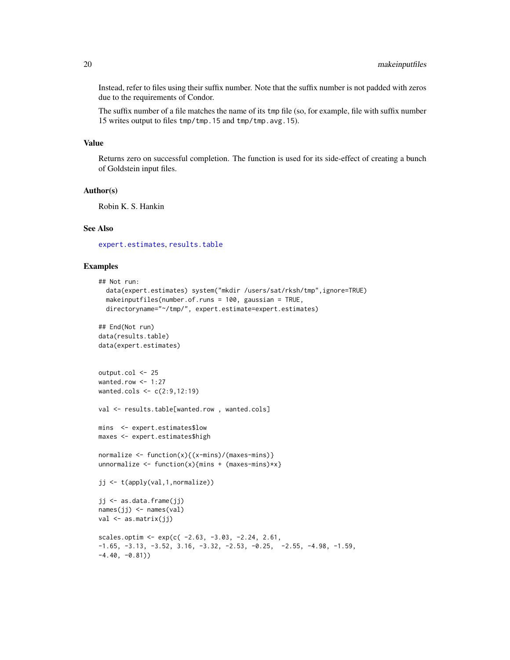<span id="page-19-0"></span>Instead, refer to files using their suffix number. Note that the suffix number is not padded with zeros due to the requirements of Condor.

The suffix number of a file matches the name of its tmp file (so, for example, file with suffix number 15 writes output to files tmp/tmp.15 and tmp/tmp.avg.15).

#### Value

Returns zero on successful completion. The function is used for its side-effect of creating a bunch of Goldstein input files.

#### Author(s)

Robin K. S. Hankin

#### See Also

[expert.estimates](#page-11-1), [results.table](#page-34-1)

#### Examples

```
## Not run:
  data(expert.estimates) system("mkdir /users/sat/rksh/tmp",ignore=TRUE)
  makeinputfiles(number.of.runs = 100, gaussian = TRUE,
  directoryname="~/tmp/", expert.estimate=expert.estimates)
## End(Not run)
data(results.table)
data(expert.estimates)
output.col <- 25
wanted.row <- 1:27
wanted.cols <- c(2:9,12:19)
val <- results.table[wanted.row, wanted.cols]
mins <- expert.estimates$low
maxes <- expert.estimates$high
normalize \leq function(x){(x-mins)/(maxes-mins)}
unnormalize \leq function(x){mins + (maxes-mins)*x}
jj <- t(apply(val,1,normalize))
jj <- as.data.frame(jj)
names(jj) <- names(val)
val <- as.matrix(jj)
scales.optim <- exp(c(-2.63, -3.03, -2.24, 2.61,-1.65, -3.13, -3.52, 3.16, -3.32, -2.53, -0.25, -2.55, -4.98, -1.59,-4.40, -0.81)
```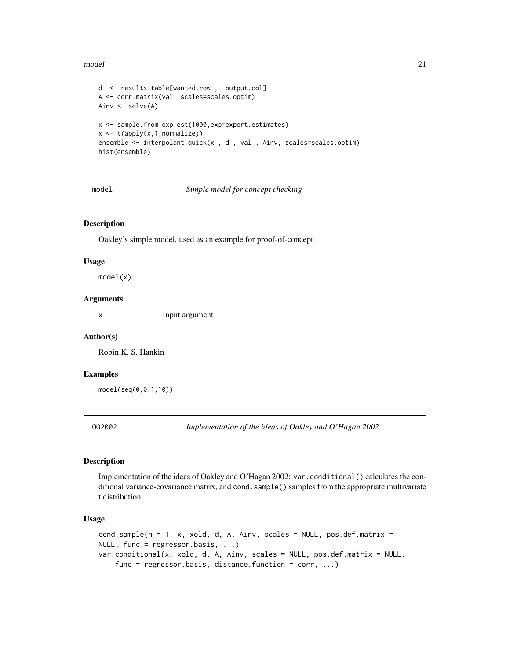#### <span id="page-20-0"></span>model 21

```
d <- results.table[wanted.row , output.col]
A <- corr.matrix(val, scales=scales.optim)
Ainv <- solve(A)
x <- sample.from.exp.est(1000,exp=expert.estimates)
x <- t(apply(x,1,normalize))
ensemble <- interpolant.quick(x , d , val , Ainv, scales=scales.optim)
hist(ensemble)
```
model *Simple model for concept checking*

#### Description

Oakley's simple model, used as an example for proof-of-concept

#### Usage

model(x)

### Arguments

x Input argument

#### Author(s)

Robin K. S. Hankin

# Examples

model(seq(0,0.1,10))

OO2002 *Implementation of the ideas of Oakley and O'Hagan 2002*

#### Description

Implementation of the ideas of Oakley and O'Hagan 2002: var.conditional() calculates the conditional variance-covariance matrix, and cond. sample() samples from the appropriate multivariate t distribution.

#### Usage

```
cond.sample(n = 1, x, xold, d, A, Ainv, scales = NULL, pos.def.matrix =
NULL, func = regressor.basis, ...)
var.conditional(x, xold, d, A, Ainv, scales = NULL, pos.def.matrix = NULL,
    func = regressor.basis, distance.function = corr, ...)
```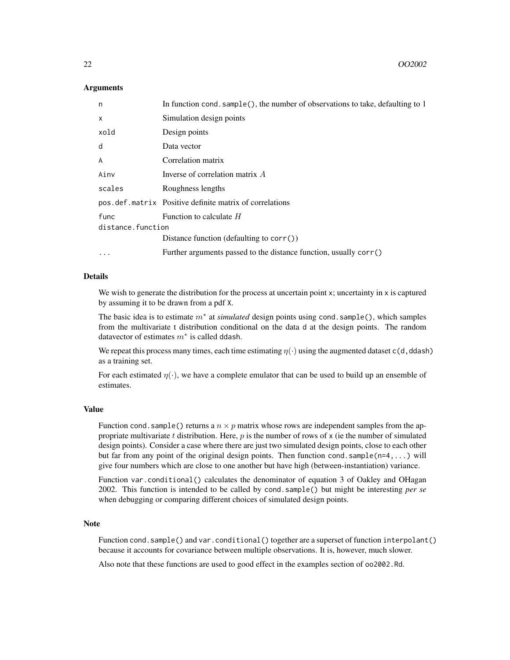#### Arguments

| n                 | In function cond. sample(), the number of observations to take, defaulting to 1 |
|-------------------|---------------------------------------------------------------------------------|
| $\times$          | Simulation design points                                                        |
| xold              | Design points                                                                   |
| d                 | Data vector                                                                     |
| $\overline{A}$    | Correlation matrix                                                              |
| Ainv              | Inverse of correlation matrix A                                                 |
| scales            | Roughness lengths                                                               |
|                   | pos.def.matrix Positive definite matrix of correlations                         |
| func              | Function to calculate $H$                                                       |
| distance.function |                                                                                 |
|                   | Distance function (defaulting to corr())                                        |
| $\ddotsc$         | Further arguments passed to the distance function, usually corr()               |

#### Details

We wish to generate the distribution for the process at uncertain point  $x$ ; uncertainty in  $x$  is captured by assuming it to be drawn from a pdf X.

The basic idea is to estimate m<sup>∗</sup> at *simulated* design points using cond.sample(), which samples from the multivariate t distribution conditional on the data d at the design points. The random datavector of estimates  $m^*$  is called ddash.

We repeat this process many times, each time estimating  $\eta(\cdot)$  using the augmented dataset c(d, ddash) as a training set.

For each estimated  $\eta(\cdot)$ , we have a complete emulator that can be used to build up an ensemble of estimates.

#### Value

Function cond. sample() returns a  $n \times p$  matrix whose rows are independent samples from the appropriate multivariate t distribution. Here,  $p$  is the number of rows of  $x$  (ie the number of simulated design points). Consider a case where there are just two simulated design points, close to each other but far from any point of the original design points. Then function cond. sample $(n=4,...)$  will give four numbers which are close to one another but have high (between-instantiation) variance.

Function var.conditional() calculates the denominator of equation 3 of Oakley and OHagan 2002. This function is intended to be called by cond.sample() but might be interesting *per se* when debugging or comparing different choices of simulated design points.

#### **Note**

Function cond.sample() and var.conditional() together are a superset of function interpolant() because it accounts for covariance between multiple observations. It is, however, much slower.

Also note that these functions are used to good effect in the examples section of oo2002.Rd.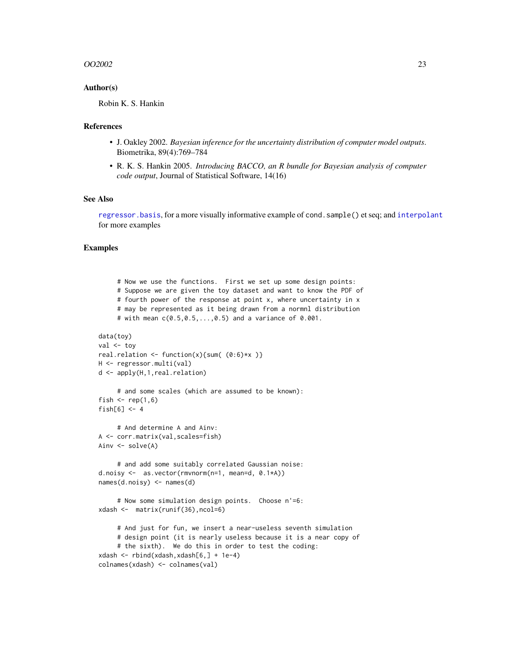#### <span id="page-22-0"></span> $OO2002$  23

#### Author(s)

Robin K. S. Hankin

#### References

- J. Oakley 2002. *Bayesian inference for the uncertainty distribution of computer model outputs*. Biometrika, 89(4):769–784
- R. K. S. Hankin 2005. *Introducing BACCO, an R bundle for Bayesian analysis of computer code output*, Journal of Statistical Software, 14(16)

# See Also

[regressor.basis](#page-31-1), for a more visually informative example of cond.sample() et seq; and [interpolant](#page-11-2) for more examples

#### Examples

```
# Now we use the functions. First we set up some design points:
     # Suppose we are given the toy dataset and want to know the PDF of
     # fourth power of the response at point x, where uncertainty in x
     # may be represented as it being drawn from a normnl distribution
     # with mean c(0.5,0.5,...,0.5) and a variance of 0.001.
data(toy)
val <- toy
real.relation \le function(x){sum( (0:6)*x )}
H <- regressor.multi(val)
d <- apply(H,1,real.relation)
     # and some scales (which are assumed to be known):
fish \le rep(1,6)
fish[6] < -4# And determine A and Ainv:
A <- corr.matrix(val,scales=fish)
Ainv <- solve(A)
     # and add some suitably correlated Gaussian noise:
d.noisy <- as.vector(rmvnorm(n=1, mean=d, 0.1*A))
names(d.noisy) <- names(d)
     # Now some simulation design points. Choose n'=6:
xdash <- matrix(runif(36),ncol=6)
     # And just for fun, we insert a near-useless seventh simulation
     # design point (it is nearly useless because it is a near copy of
     # the sixth). We do this in order to test the coding:
xdash <- rbind(xdash,xdash[6,] + 1e-4)
colnames(xdash) <- colnames(val)
```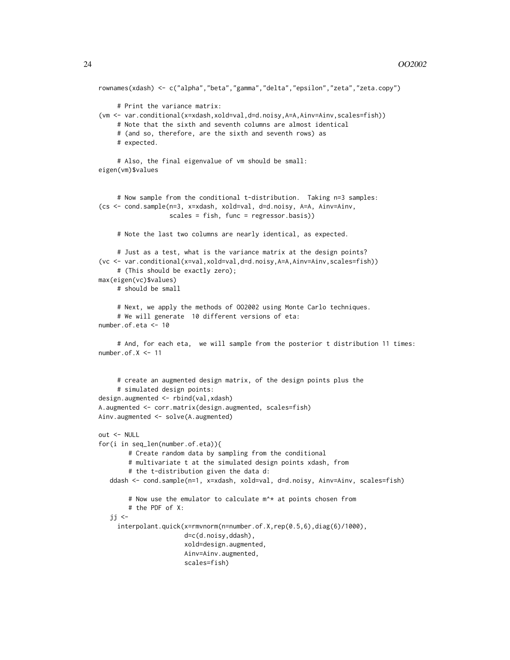```
rownames(xdash) <- c("alpha","beta","gamma","delta","epsilon","zeta","zeta.copy")
     # Print the variance matrix:
(vm <- var.conditional(x=xdash,xold=val,d=d.noisy,A=A,Ainv=Ainv,scales=fish))
     # Note that the sixth and seventh columns are almost identical
     # (and so, therefore, are the sixth and seventh rows) as
     # expected.
     # Also, the final eigenvalue of vm should be small:
eigen(vm)$values
     # Now sample from the conditional t-distribution. Taking n=3 samples:
(cs <- cond.sample(n=3, x=xdash, xold=val, d=d.noisy, A=A, Ainv=Ainv,
                   scales = fish, func = regressor.basis))
     # Note the last two columns are nearly identical, as expected.
     # Just as a test, what is the variance matrix at the design points?
(vc <- var.conditional(x=val,xold=val,d=d.noisy,A=A,Ainv=Ainv,scales=fish))
     # (This should be exactly zero);
max(eigen(vc)$values)
     # should be small
     # Next, we apply the methods of OO2002 using Monte Carlo techniques.
     # We will generate 10 different versions of eta:
number.of.eta <- 10
     # And, for each eta, we will sample from the posterior t distribution 11 times:
number.of.X \le -11# create an augmented design matrix, of the design points plus the
     # simulated design points:
design.augmented <- rbind(val,xdash)
A.augmented <- corr.matrix(design.augmented, scales=fish)
Ainv.augmented <- solve(A.augmented)
out <- NULL
for(i in seq_len(number.of.eta)){
       # Create random data by sampling from the conditional
       # multivariate t at the simulated design points xdash, from
        # the t-distribution given the data d:
  ddash <- cond.sample(n=1, x=xdash, xold=val, d=d.noisy, Ainv=Ainv, scales=fish)
        # Now use the emulator to calculate m^* at points chosen from
        # the PDF of X:
   ji <-
     interpolant.quick(x=rmvnorm(n=number.of.X,rep(0.5,6),diag(6)/1000),
                       d=c(d.noisy,ddash),
                       xold=design.augmented,
                       Ainv=Ainv.augmented,
                       scales=fish)
```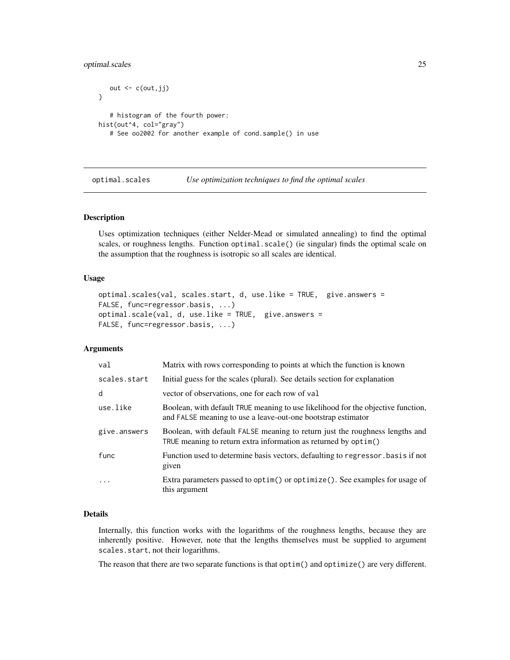<span id="page-24-0"></span>optimal.scales 25

```
out \leftarrow c(out, jj)
}
   # histogram of the fourth power:
hist(out^4, col="gray")
   # See oo2002 for another example of cond.sample() in use
```
<span id="page-24-1"></span>optimal.scales *Use optimization techniques to find the optimal scales*

#### Description

Uses optimization techniques (either Nelder-Mead or simulated annealing) to find the optimal scales, or roughness lengths. Function optimal.scale() (ie singular) finds the optimal scale on the assumption that the roughness is isotropic so all scales are identical.

#### Usage

```
optimal.scales(val, scales.start, d, use.like = TRUE, give.answers =
FALSE, func=regressor.basis, ...)
optimal.scale(val, d, use.like = TRUE, give.answers =
FALSE, func=regressor.basis, ...)
```
#### Arguments

| val          | Matrix with rows corresponding to points at which the function is known                                                                          |
|--------------|--------------------------------------------------------------------------------------------------------------------------------------------------|
| scales.start | Initial guess for the scales (plural). See details section for explanation                                                                       |
| d            | vector of observations, one for each row of val                                                                                                  |
| use.like     | Boolean, with default TRUE meaning to use likelihood for the objective function,<br>and FALSE meaning to use a leave-out-one bootstrap estimator |
| give.answers | Boolean, with default FALSE meaning to return just the roughness lengths and<br>TRUE meaning to return extra information as returned by optim()  |
| func         | Function used to determine basis vectors, defaulting to regressor basis if not<br>given                                                          |
| .            | Extra parameters passed to optim() or optimize(). See examples for usage of<br>this argument                                                     |

#### Details

Internally, this function works with the logarithms of the roughness lengths, because they are inherently positive. However, note that the lengths themselves must be supplied to argument scales.start, not their logarithms.

The reason that there are two separate functions is that optim() and optimize() are very different.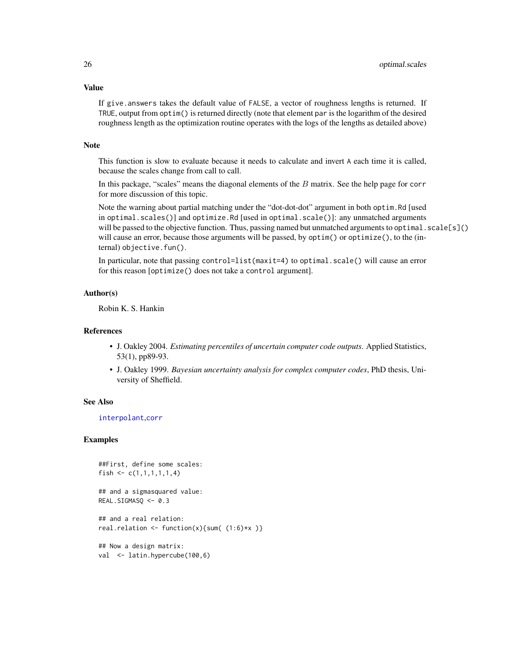<span id="page-25-0"></span>Value

If give.answers takes the default value of FALSE, a vector of roughness lengths is returned. If TRUE, output from optim() is returned directly (note that element par is the logarithm of the desired roughness length as the optimization routine operates with the logs of the lengths as detailed above)

#### Note

This function is slow to evaluate because it needs to calculate and invert A each time it is called, because the scales change from call to call.

In this package, "scales" means the diagonal elements of the  $B$  matrix. See the help page for corr for more discussion of this topic.

Note the warning about partial matching under the "dot-dot-dot" argument in both optim.Rd [used in optimal.scales()] and optimize.Rd [used in optimal.scale()]: any unmatched arguments will be passed to the objective function. Thus, passing named but unmatched arguments to optimal.  $scale[s]()$ will cause an error, because those arguments will be passed, by optim() or optimize(), to the (internal) objective.fun().

In particular, note that passing control=list(maxit=4) to optimal.scale() will cause an error for this reason [optimize() does not take a control argument].

# Author(s)

Robin K. S. Hankin

#### References

- J. Oakley 2004. *Estimating percentiles of uncertain computer code outputs*. Applied Statistics, 53(1), pp89-93.
- J. Oakley 1999. *Bayesian uncertainty analysis for complex computer codes*, PhD thesis, University of Sheffield.

#### See Also

[interpolant](#page-11-2),[corr](#page-5-1)

#### Examples

```
##First, define some scales:
fish \leq c(1,1,1,1,1,4)
```
## and a sigmasquared value: REAL.SIGMASQ <- 0.3

## and a real relation: real.relation  $\le$  function(x){sum(  $(1:6)*x$  )}

## Now a design matrix: val <- latin.hypercube(100,6)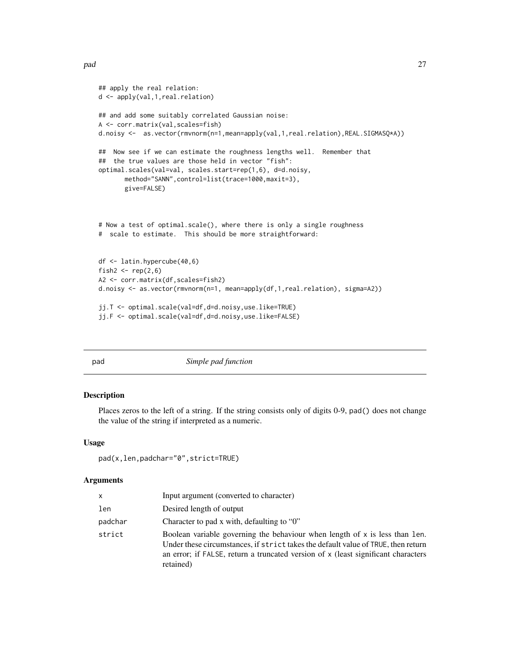```
## apply the real relation:
d <- apply(val,1,real.relation)
## and add some suitably correlated Gaussian noise:
A <- corr.matrix(val,scales=fish)
d.noisy <- as.vector(rmvnorm(n=1,mean=apply(val,1,real.relation),REAL.SIGMASQ*A))
## Now see if we can estimate the roughness lengths well. Remember that
## the true values are those held in vector "fish":
optimal.scales(val=val, scales.start=rep(1,6), d=d.noisy,
       method="SANN",control=list(trace=1000,maxit=3),
       give=FALSE)
# Now a test of optimal.scale(), where there is only a single roughness
# scale to estimate. This should be more straightforward:
df <- latin.hypercube(40,6)
fish2 \leftarrow \text{rep}(2, 6)A2 <- corr.matrix(df,scales=fish2)
d.noisy <- as.vector(rmvnorm(n=1, mean=apply(df,1,real.relation), sigma=A2))
jj.T <- optimal.scale(val=df,d=d.noisy,use.like=TRUE)
jj.F <- optimal.scale(val=df,d=d.noisy,use.like=FALSE)
```
pad *Simple pad function*

# Description

Places zeros to the left of a string. If the string consists only of digits 0-9, pad() does not change the value of the string if interpreted as a numeric.

#### Usage

```
pad(x,len,padchar="0",strict=TRUE)
```
# Arguments

| x       | Input argument (converted to character)                                                                                                                                                                                                                            |
|---------|--------------------------------------------------------------------------------------------------------------------------------------------------------------------------------------------------------------------------------------------------------------------|
| len     | Desired length of output                                                                                                                                                                                                                                           |
| padchar | Character to pad x with, defaulting to "0"                                                                                                                                                                                                                         |
| strict  | Boolean variable governing the behaviour when length of x is less than len.<br>Under these circumstances, if strict takes the default value of TRUE, then return<br>an error; if FALSE, return a truncated version of x (least significant characters<br>retained) |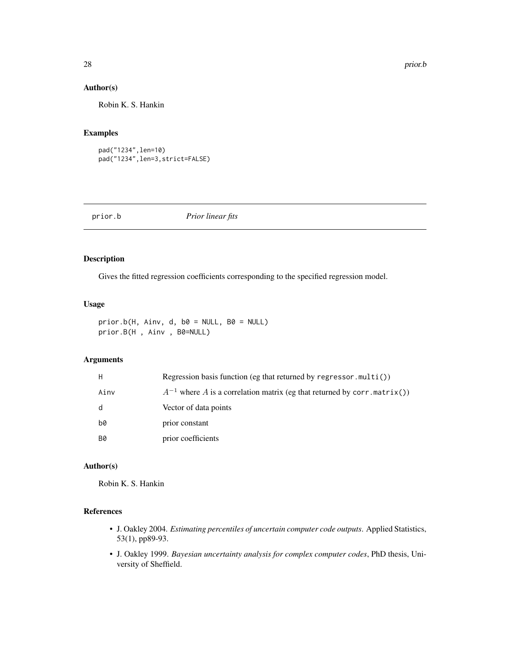# Author(s)

Robin K. S. Hankin

# Examples

```
pad("1234",len=10)
pad("1234",len=3,strict=FALSE)
```
prior.b *Prior linear fits*

# Description

Gives the fitted regression coefficients corresponding to the specified regression model.

# Usage

```
prior.b(H, Ainv, d, b0 = NULL, B0 = NULL)prior.B(H , Ainv , B0=NULL)
```
# Arguments

| H         | Regression basis function (eg that returned by regressor.multi())            |
|-----------|------------------------------------------------------------------------------|
| Ainv      | $A^{-1}$ where A is a correlation matrix (eg that returned by corr.matrix()) |
| d         | Vector of data points                                                        |
| b0        | prior constant                                                               |
| <b>B0</b> | prior coefficients                                                           |

#### Author(s)

Robin K. S. Hankin

# References

- J. Oakley 2004. *Estimating percentiles of uncertain computer code outputs*. Applied Statistics, 53(1), pp89-93.
- J. Oakley 1999. *Bayesian uncertainty analysis for complex computer codes*, PhD thesis, University of Sheffield.

<span id="page-27-0"></span>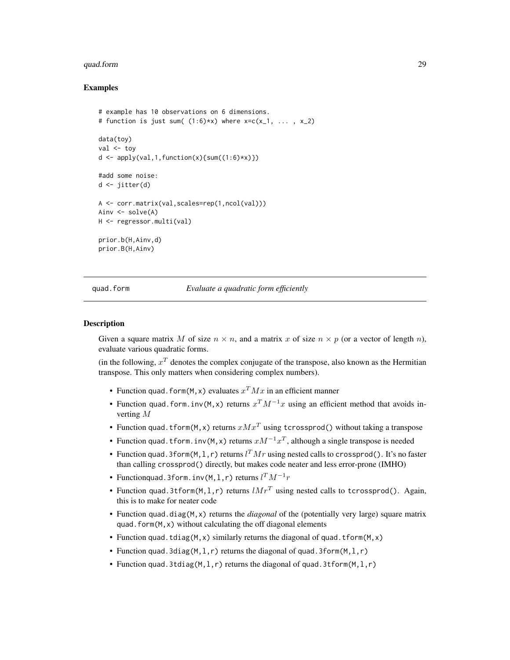#### <span id="page-28-0"></span>quad.form 29

#### Examples

```
# example has 10 observations on 6 dimensions.
# function is just sum((1:6)*x) where x=c(x_1, \ldots, x_2)data(toy)
val <- toy
d \leftarrow apply(val, 1, function(x) \{sum(1:6) * x)\})#add some noise:
d <- jitter(d)
A <- corr.matrix(val,scales=rep(1,ncol(val)))
Ainv \leq solve(A)
H <- regressor.multi(val)
prior.b(H,Ainv,d)
prior.B(H,Ainv)
```
quad.form *Evaluate a quadratic form efficiently*

#### **Description**

Given a square matrix M of size  $n \times n$ , and a matrix x of size  $n \times p$  (or a vector of length n), evaluate various quadratic forms.

(in the following,  $x^T$  denotes the complex conjugate of the transpose, also known as the Hermitian transpose. This only matters when considering complex numbers).

- Function quad. form(M, x) evaluates  $x^T M x$  in an efficient manner
- Function quad.form.inv(M, x) returns  $x^T M^{-1}x$  using an efficient method that avoids inverting M
- Function quad. t form(M, x) returns  $xMx^{T}$  using tcrossprod() without taking a transpose
- Function quad.tform.inv(M, x) returns  $xM^{-1}x^T$ , although a single transpose is needed
- Function quad.3form(M, 1, r) returns  $l^T M r$  using nested calls to crossprod(). It's no faster than calling crossprod() directly, but makes code neater and less error-prone (IMHO)
- Functionquad.3form.inv(M,l,r) returns  $l^T M^{-1}r$
- Function quad.3tform(M,1,r) returns  $lMr^{T}$  using nested calls to tcrossprod(). Again, this is to make for neater code
- Function quad.diag(M,x) returns the *diagonal* of the (potentially very large) square matrix quad.form(M,x) without calculating the off diagonal elements
- Function quad.tdiag(M, x) similarly returns the diagonal of quad.tform(M, x)
- Function quad.3diag(M, 1, r) returns the diagonal of quad.3form(M, 1, r)
- Function quad.3tdiag(M,  $l, r$ ) returns the diagonal of quad.3tform(M,  $l, r$ )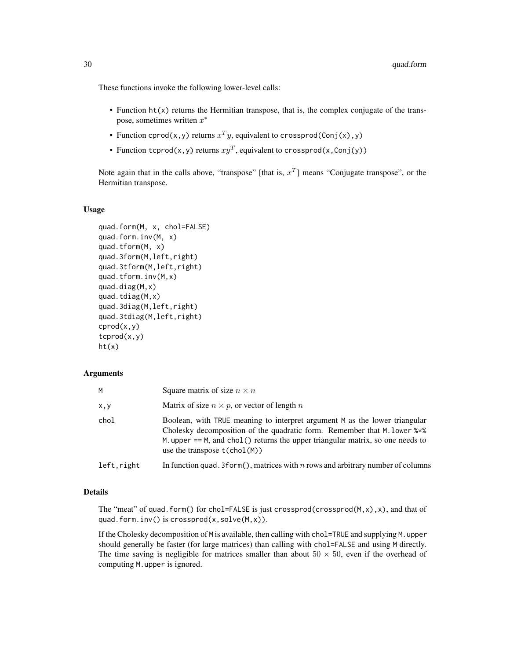These functions invoke the following lower-level calls:

- Function ht(x) returns the Hermitian transpose, that is, the complex conjugate of the transpose, sometimes written  $x^*$
- Function cprod(x,y) returns  $x^T y$ , equivalent to crossprod(Conj(x),y)
- Function tcprod(x,y) returns  $xy^T$ , equivalent to crossprod(x,Conj(y))

Note again that in the calls above, "transpose" [that is,  $x^T$ ] means "Conjugate transpose", or the Hermitian transpose.

#### Usage

```
quad.form(M, x, chol=FALSE)
quad.form.inv(M, x)
quad.tform(M, x)
quad.3form(M,left,right)
quad.3tform(M,left,right)
quad.tform.inv(M,x)
quad.diag(M,x)
quad.tdiag(M, x)quad.3diag(M,left,right)
quad.3tdiag(M,left,right)
cprod(x,y)
tcprod(x,y)
ht(x)
```
#### Arguments

| м          | Square matrix of size $n \times n$                                                                                                                                                                                                                                                            |
|------------|-----------------------------------------------------------------------------------------------------------------------------------------------------------------------------------------------------------------------------------------------------------------------------------------------|
| x,y        | Matrix of size $n \times p$ , or vector of length n                                                                                                                                                                                                                                           |
| chol       | Boolean, with TRUE meaning to interpret argument M as the lower triangular<br>Cholesky decomposition of the quadratic form. Remember that M. lower $\frac{1}{2}$<br>M. upper $==$ M, and chol() returns the upper triangular matrix, so one needs to<br>use the transpose $t(\text{chol}(M))$ |
| left.right | In function quad. 3 form(), matrices with n rows and arbitrary number of columns                                                                                                                                                                                                              |

#### Details

The "meat" of quad.form() for chol=FALSE is just crossprod(crossprod(M,x),x), and that of quad.form.inv() is crossprod(x,solve(M,x)).

If the Cholesky decomposition of M is available, then calling with chol=TRUE and supplying M.upper should generally be faster (for large matrices) than calling with chol=FALSE and using M directly. The time saving is negligible for matrices smaller than about  $50 \times 50$ , even if the overhead of computing M.upper is ignored.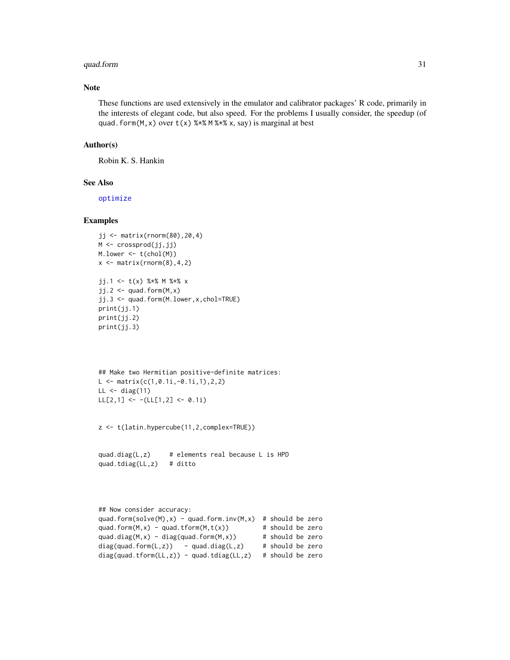# <span id="page-30-0"></span>quad.form 31

# Note

These functions are used extensively in the emulator and calibrator packages' R code, primarily in the interests of elegant code, but also speed. For the problems I usually consider, the speedup (of quad.form(M, x) over  $t(x)$  %\*% M %\*% x, say) is marginal at best

#### Author(s)

Robin K. S. Hankin

# See Also

[optimize](#page-0-0)

# Examples

```
jj <- matrix(rnorm(80),20,4)
M <- crossprod(jj,jj)
M.lower <- t(chol(M))
x \leftarrow \text{matrix}(rnorm(8), 4, 2)jj.1 <- t(x) %*% M %*% x
jj.2 \leftarrow quad.form(M, x)jj.3 <- quad.form(M.lower,x,chol=TRUE)
print(jj.1)
print(jj.2)
print(jj.3)
## Make two Hermitian positive-definite matrices:
L \leq - matrix(c(1,0.1i,-0.1i,1),2,2)
LL \leftarrow diag(11)
LL[2,1] <- -(LL[1,2] <- 0.1i)
```

```
z <- t(latin.hypercube(11,2,complex=TRUE))
```

```
quad.diag(L,z) # elements real because L is HPD
quad.tdiag(LL,z) # ditto
```

```
## Now consider accuracy:
quad.form(solve(M),x) - quad.form.inv(M,x) # should be zero
quad.form(M,x) - quad.tform(M,t(x)) # should be zero<br>quad.diag(M,x) - diag(quad.form(M,x)) # should be zero
quad.diag(M,x) - diag(quad.form(M,x))
diag(quad.form(L,z)) - quad.diag(L,z) # should be zero
diag(quad.tform(LL,z)) - quad.tdiag(LL,z) # should be zero
```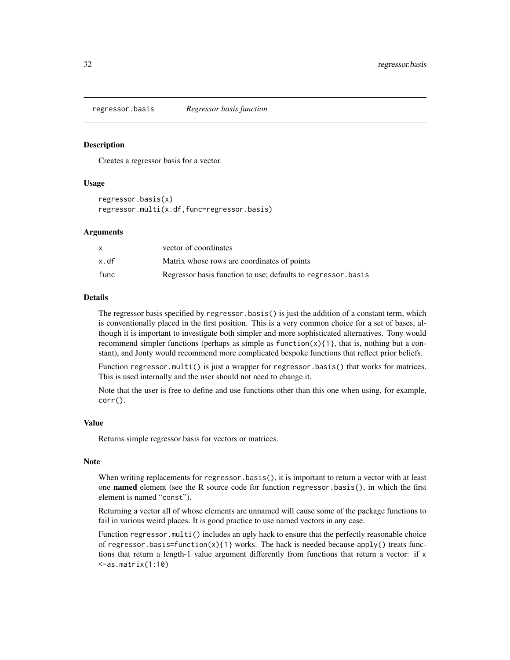<span id="page-31-1"></span><span id="page-31-0"></span>regressor.basis *Regressor basis function*

#### Description

Creates a regressor basis for a vector.

# Usage

regressor.basis(x) regressor.multi(x.df,func=regressor.basis)

#### Arguments

|      | vector of coordinates                                        |
|------|--------------------------------------------------------------|
| x.df | Matrix whose rows are coordinates of points                  |
| func | Regressor basis function to use; defaults to regressor basis |

#### Details

The regressor basis specified by regressor.basis() is just the addition of a constant term, which is conventionally placed in the first position. This is a very common choice for a set of bases, although it is important to investigate both simpler and more sophisticated alternatives. Tony would recommend simpler functions (perhaps as simple as function $(x)$ {1}, that is, nothing but a constant), and Jonty would recommend more complicated bespoke functions that reflect prior beliefs.

Function regressor.multi() is just a wrapper for regressor.basis() that works for matrices. This is used internally and the user should not need to change it.

Note that the user is free to define and use functions other than this one when using, for example, corr().

#### Value

Returns simple regressor basis for vectors or matrices.

#### Note

When writing replacements for regressor.basis(), it is important to return a vector with at least one named element (see the R source code for function regressor.basis(), in which the first element is named "const").

Returning a vector all of whose elements are unnamed will cause some of the package functions to fail in various weird places. It is good practice to use named vectors in any case.

Function regressor.multi() includes an ugly hack to ensure that the perfectly reasonable choice of regressor.basis=function(x){1} works. The hack is needed because apply() treats functions that return a length-1 value argument differently from functions that return a vector: if x  $\leq$ -as.matrix $(1:10)$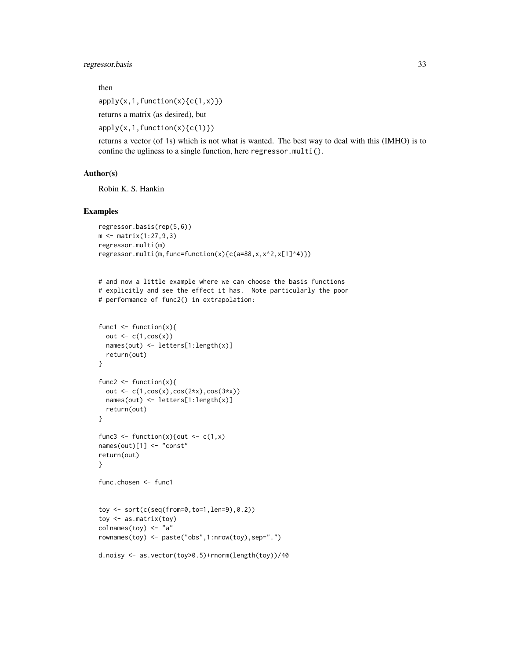# regressor.basis 33

then

 $apply(x,1,function(x){c(1,x)})$ 

returns a matrix (as desired), but

apply(x,1,function(x){c(1)})

returns a vector (of 1s) which is not what is wanted. The best way to deal with this (IMHO) is to confine the ugliness to a single function, here regressor.multi().

#### Author(s)

Robin K. S. Hankin

# Examples

```
regressor.basis(rep(5,6))
m <- matrix(1:27,9,3)
regressor.multi(m)
regressor.multi(m,func=function(x){c(a=88,x,x^2,x[1]^4)})
```

```
# and now a little example where we can choose the basis functions
# explicitly and see the effect it has. Note particularly the poor
# performance of func2() in extrapolation:
```

```
func1 \leftarrow function(x){
  out \leq c(1,cos(x))
  names(out) <- letters[1:length(x)]
  return(out)
}
func2 \leftarrow function(x){
  out \leq c(1, \cos(x), \cos(2*x), \cos(3*x))names(out) <- letters[1:length(x)]
  return(out)
}
func3 \leftarrow function(x){out \leftarrow c(1,x)
names(out)[1] <- "const"
return(out)
}
func.chosen <- func1
```

```
toy <- sort(c(seq(from=0,to=1,len=9),0.2))
toy <- as.matrix(toy)
colnames(toy) <- "a"
rownames(toy) <- paste("obs",1:nrow(toy),sep=".")
```

```
d.noisy <- as.vector(toy>0.5)+rnorm(length(toy))/40
```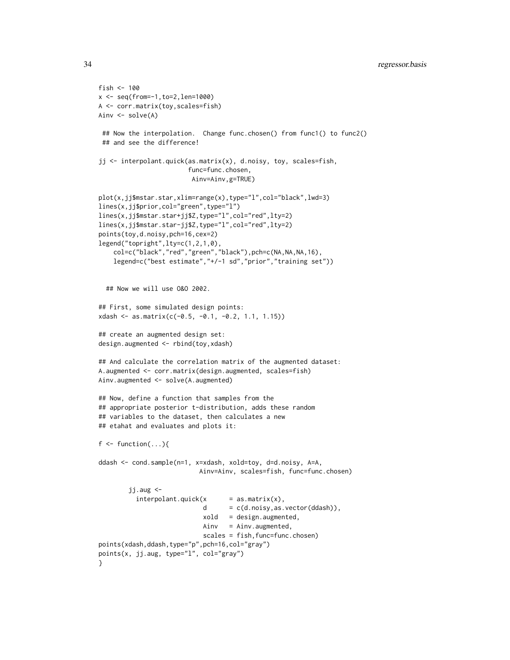### 34 regressor.basis

```
fish <-100x <- seq(from=-1,to=2,len=1000)
A <- corr.matrix(toy,scales=fish)
Ainv <- solve(A)
 ## Now the interpolation. Change func.chosen() from func1() to func2()
 ## and see the difference!
jj <- interpolant.quick(as.matrix(x), d.noisy, toy, scales=fish,
                        func=func.chosen,
                         Ainv=Ainv,g=TRUE)
plot(x,jj$mstar.star,xlim=range(x),type="l",col="black",lwd=3)
lines(x,jj$prior,col="green",type="l")
lines(x,jj$mstar.star+jj$Z,type="l",col="red",lty=2)
lines(x,jj$mstar.star-jj$Z,type="l",col="red",lty=2)
points(toy,d.noisy,pch=16,cex=2)
legend("topright",lty=c(1,2,1,0),
    col=c("black","red","green","black"),pch=c(NA,NA,NA,16),
    legend=c("best estimate","+/-1 sd","prior","training set"))
  ## Now we will use O&O 2002.
## First, some simulated design points:
xdash <- as.matrix(c(-0.5, -0.1, -0.2, 1.1, 1.15))
## create an augmented design set:
design.augmented <- rbind(toy,xdash)
## And calculate the correlation matrix of the augmented dataset:
A.augmented <- corr.matrix(design.augmented, scales=fish)
Ainv.augmented <- solve(A.augmented)
## Now, define a function that samples from the
## appropriate posterior t-distribution, adds these random
## variables to the dataset, then calculates a new
## etahat and evaluates and plots it:
f \leftarrow function(...)\{ddash <- cond.sample(n=1, x=xdash, xold=toy, d=d.noisy, A=A,
                           Ainv=Ainv, scales=fish, func=func.chosen)
        jj.aug <-
          interpolation t. quick(x = as_matrix(x),d = c(d.noisy, as.vector(ddash)),xold = design.augmented,
                            Ainv = Ainv.augmented,
                            scales = fish, func=func.chosen)
points(xdash,ddash,type="p",pch=16,col="gray")
points(x, jj.aug, type="l", col="gray")
}
```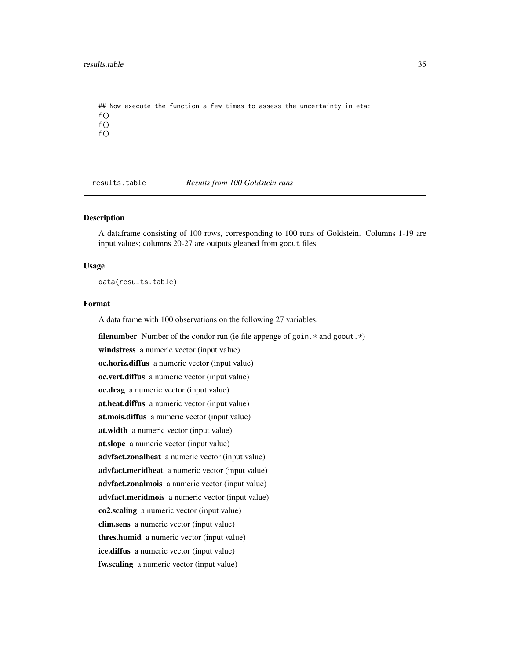```
## Now execute the function a few times to assess the uncertainty in eta:
f()f()f()
```
<span id="page-34-1"></span>results.table *Results from 100 Goldstein runs*

#### Description

A dataframe consisting of 100 rows, corresponding to 100 runs of Goldstein. Columns 1-19 are input values; columns 20-27 are outputs gleaned from goout files.

#### Usage

data(results.table)

#### Format

A data frame with 100 observations on the following 27 variables.

**filenumber** Number of the condor run (ie file appenge of goin.  $*$  and goout.  $*$ )

windstress a numeric vector (input value)

oc.horiz.diffus a numeric vector (input value)

oc.vert.diffus a numeric vector (input value) oc.drag a numeric vector (input value)

at.heat.diffus a numeric vector (input value)

at.mois.diffus a numeric vector (input value)

at.width a numeric vector (input value)

at.slope a numeric vector (input value)

advfact.zonalheat a numeric vector (input value)

advfact.meridheat a numeric vector (input value)

advfact.zonalmois a numeric vector (input value)

advfact.meridmois a numeric vector (input value)

co2.scaling a numeric vector (input value)

clim.sens a numeric vector (input value)

thres.humid a numeric vector (input value)

ice.diffus a numeric vector (input value)

fw.scaling a numeric vector (input value)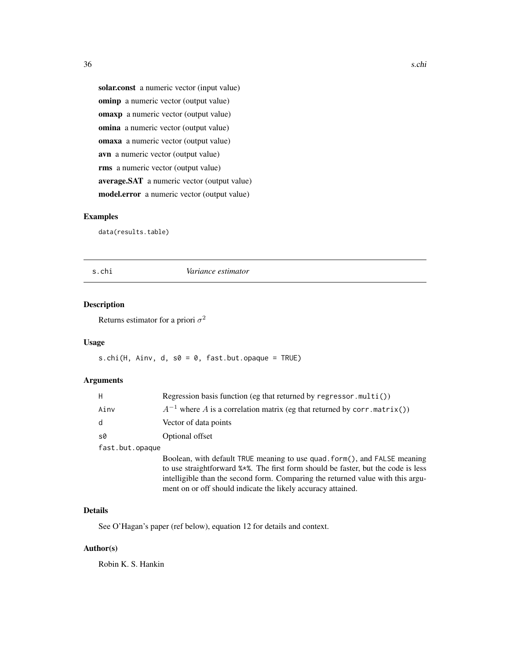solar.const a numeric vector (input value) ominp a numeric vector (output value) omaxp a numeric vector (output value) omina a numeric vector (output value) omaxa a numeric vector (output value) avn a numeric vector (output value) rms a numeric vector (output value) average.SAT a numeric vector (output value) model.error a numeric vector (output value)

# Examples

data(results.table)

#### s.chi *Variance estimator*

# Description

Returns estimator for a priori  $\sigma^2$ 

## Usage

s.chi(H, Ainv, d, s0 = 0, fast.but.opaque = TRUE)

# Arguments

| H               | Regression basis function (eg that returned by regressor.multi())            |
|-----------------|------------------------------------------------------------------------------|
| Ainv            | $A^{-1}$ where A is a correlation matrix (eg that returned by corr.matrix()) |
| d               | Vector of data points                                                        |
| s0              | Optional offset                                                              |
| fast.but.opaque |                                                                              |
|                 | Boolean, with default TRUE meaning to use quad. form(), and FALSE meaning    |

to use straightforward %\*%. The first form should be faster, but the code is less intelligible than the second form. Comparing the returned value with this argument on or off should indicate the likely accuracy attained.

#### Details

See O'Hagan's paper (ref below), equation 12 for details and context.

#### Author(s)

Robin K. S. Hankin

<span id="page-35-0"></span>36 s.chi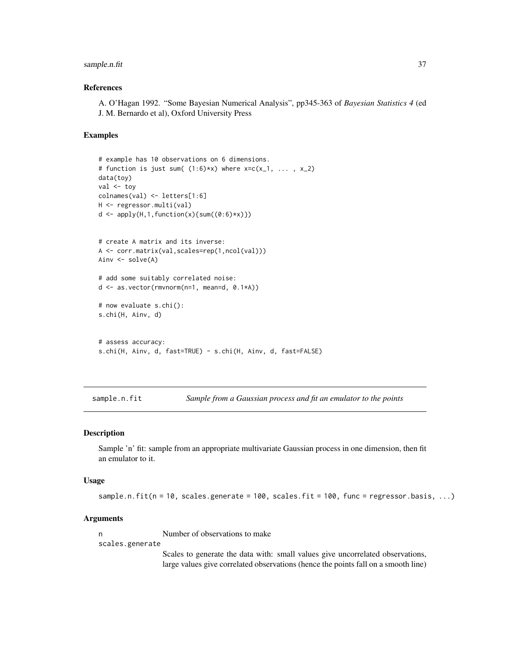# <span id="page-36-0"></span>sample.n.fit 37

# References

A. O'Hagan 1992. "Some Bayesian Numerical Analysis", pp345-363 of *Bayesian Statistics 4* (ed J. M. Bernardo et al), Oxford University Press

#### Examples

```
# example has 10 observations on 6 dimensions.
# function is just sum((1:6)*x) where x=c(x_1, \ldots, x_2)data(toy)
val <- toy
colnames(val) <- letters[1:6]
H <- regressor.multi(val)
d \leftarrow apply(H, 1, function(x) \{sum((0:6)*x)\})# create A matrix and its inverse:
A <- corr.matrix(val,scales=rep(1,ncol(val)))
Ainv <- solve(A)
# add some suitably correlated noise:
d <- as.vector(rmvnorm(n=1, mean=d, 0.1*A))
# now evaluate s.chi():
s.chi(H, Ainv, d)
# assess accuracy:
s.chi(H, Ainv, d, fast=TRUE) - s.chi(H, Ainv, d, fast=FALSE)
```
sample.n.fit *Sample from a Gaussian process and fit an emulator to the points*

#### Description

Sample 'n' fit: sample from an appropriate multivariate Gaussian process in one dimension, then fit an emulator to it.

# Usage

sample.n.fit( $n = 10$ , scales.generate = 100, scales.fit = 100, func = regressor.basis, ...)

#### Arguments

n Number of observations to make

scales.generate

Scales to generate the data with: small values give uncorrelated observations, large values give correlated observations (hence the points fall on a smooth line)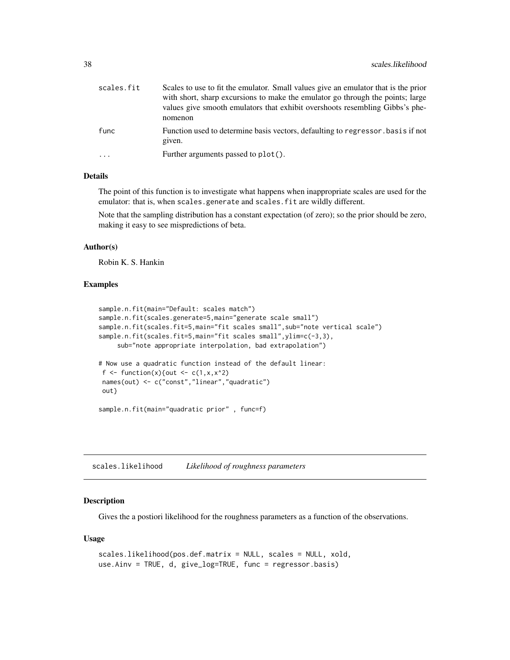<span id="page-37-0"></span>

| scales.fit | Scales to use to fit the emulator. Small values give an emulator that is the prior<br>with short, sharp excursions to make the emulator go through the points; large<br>values give smooth emulators that exhibit overshoots resembling Gibbs's phe-<br>nomenon |
|------------|-----------------------------------------------------------------------------------------------------------------------------------------------------------------------------------------------------------------------------------------------------------------|
| func       | Function used to determine basis vectors, defaulting to regressor basis if not<br>given.                                                                                                                                                                        |
| .          | Further arguments passed to plot().                                                                                                                                                                                                                             |

#### Details

The point of this function is to investigate what happens when inappropriate scales are used for the emulator: that is, when scales.generate and scales.fit are wildly different.

Note that the sampling distribution has a constant expectation (of zero); so the prior should be zero, making it easy to see mispredictions of beta.

# Author(s)

Robin K. S. Hankin

#### Examples

```
sample.n.fit(main="Default: scales match")
sample.n.fit(scales.generate=5,main="generate scale small")
sample.n.fit(scales.fit=5,main="fit scales small", sub="note vertical scale")
sample.n.fit(scales.fit=5,main="fit scales small", ylim=c(-3,3),
     sub="note appropriate interpolation, bad extrapolation")
# Now use a quadratic function instead of the default linear:
f \le function(x){out \le c(1,x,x^2)
names(out) <- c("const","linear","quadratic")
out}
sample.n.fit(main="quadratic prior" , func=f)
```
scales.likelihood *Likelihood of roughness parameters*

#### **Description**

Gives the a postiori likelihood for the roughness parameters as a function of the observations.

#### Usage

```
scales.likelihood(pos.def.matrix = NULL, scales = NULL, xold,
use.Ainv = TRUE, d, give_log=TRUE, func = regressor.basis)
```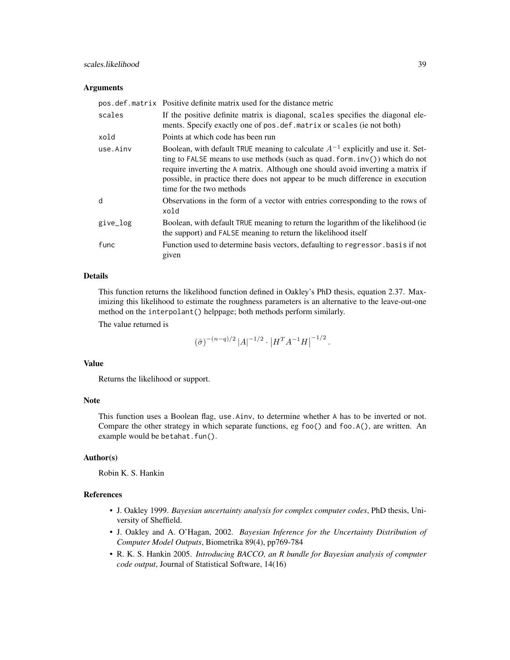#### **Arguments**

|          | pos.def.matrix Positive definite matrix used for the distance metric                                                                                                                                                                                                                                                                                                    |
|----------|-------------------------------------------------------------------------------------------------------------------------------------------------------------------------------------------------------------------------------------------------------------------------------------------------------------------------------------------------------------------------|
| scales   | If the positive definite matrix is diagonal, scales specifies the diagonal ele-<br>ments. Specify exactly one of pos. def. matrix or scales (ie not both)                                                                                                                                                                                                               |
| xold     | Points at which code has been run                                                                                                                                                                                                                                                                                                                                       |
| use.Ainv | Boolean, with default TRUE meaning to calculate $A^{-1}$ explicitly and use it. Set-<br>ting to FALSE means to use methods (such as quad. form. $inv()$ ) which do not<br>require inverting the A matrix. Although one should avoid inverting a matrix if<br>possible, in practice there does not appear to be much difference in execution<br>time for the two methods |
| d        | Observations in the form of a vector with entries corresponding to the rows of<br>xold                                                                                                                                                                                                                                                                                  |
| give_log | Boolean, with default TRUE meaning to return the logarithm of the likelihood (ie)<br>the support) and FALSE meaning to return the likelihood itself                                                                                                                                                                                                                     |
| func     | Function used to determine basis vectors, defaulting to regressor basis if not<br>given                                                                                                                                                                                                                                                                                 |

# Details

This function returns the likelihood function defined in Oakley's PhD thesis, equation 2.37. Maximizing this likelihood to estimate the roughness parameters is an alternative to the leave-out-one method on the interpolant() helppage; both methods perform similarly.

The value returned is

$$
(\hat{\sigma})^{-(n-q)/2} |A|^{-1/2} \cdot |H^T A^{-1} H|^{-1/2}.
$$

#### Value

Returns the likelihood or support.

#### Note

This function uses a Boolean flag, use.Ainv, to determine whether A has to be inverted or not. Compare the other strategy in which separate functions, eg foo() and foo.A(), are written. An example would be betahat.fun().

# Author(s)

Robin K. S. Hankin

#### References

- J. Oakley 1999. *Bayesian uncertainty analysis for complex computer codes*, PhD thesis, University of Sheffield.
- J. Oakley and A. O'Hagan, 2002. *Bayesian Inference for the Uncertainty Distribution of Computer Model Outputs*, Biometrika 89(4), pp769-784
- R. K. S. Hankin 2005. *Introducing BACCO, an R bundle for Bayesian analysis of computer code output*, Journal of Statistical Software, 14(16)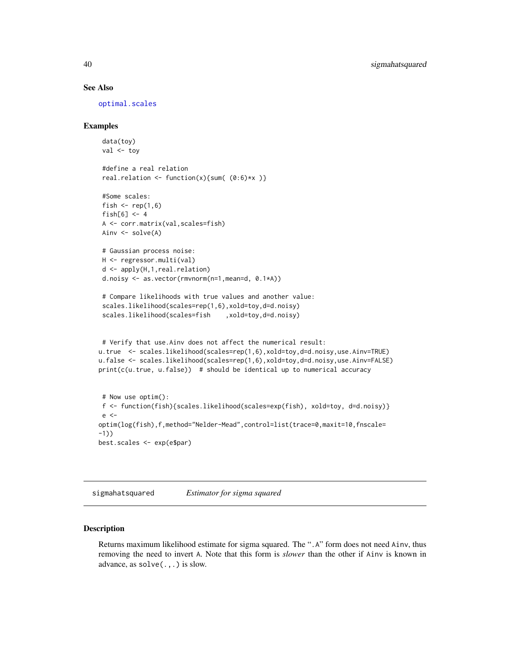#### See Also

[optimal.scales](#page-24-1)

#### Examples

```
data(toy)
val <- toy
 #define a real relation
 real.relation \le function(x){sum( (0:6)*x )}
#Some scales:
fish \leq rep(1,6)
fish[6] <-4A <- corr.matrix(val,scales=fish)
Ainv <- solve(A)
# Gaussian process noise:
H <- regressor.multi(val)
d <- apply(H,1,real.relation)
d.noisy <- as.vector(rmvnorm(n=1,mean=d, 0.1*A))
 # Compare likelihoods with true values and another value:
 scales.likelihood(scales=rep(1,6),xold=toy,d=d.noisy)
 scales.likelihood(scales=fish ,xold=toy,d=d.noisy)
# Verify that use.Ainv does not affect the numerical result:
u.true <- scales.likelihood(scales=rep(1,6),xold=toy,d=d.noisy,use.Ainv=TRUE)
u.false <- scales.likelihood(scales=rep(1,6),xold=toy,d=d.noisy,use.Ainv=FALSE)
print(c(u.true, u.false)) # should be identical up to numerical accuracy
# Now use optim():
f <- function(fish){scales.likelihood(scales=exp(fish), xold=toy, d=d.noisy)}
e <-
optim(log(fish),f,method="Nelder-Mead",control=list(trace=0,maxit=10,fnscale=
-1))
best.scales <- exp(e$par)
```
sigmahatsquared *Estimator for sigma squared*

# Description

Returns maximum likelihood estimate for sigma squared. The ".A" form does not need Ainv, thus removing the need to invert A. Note that this form is *slower* than the other if Ainv is known in advance, as solve(.,.) is slow.

<span id="page-39-0"></span>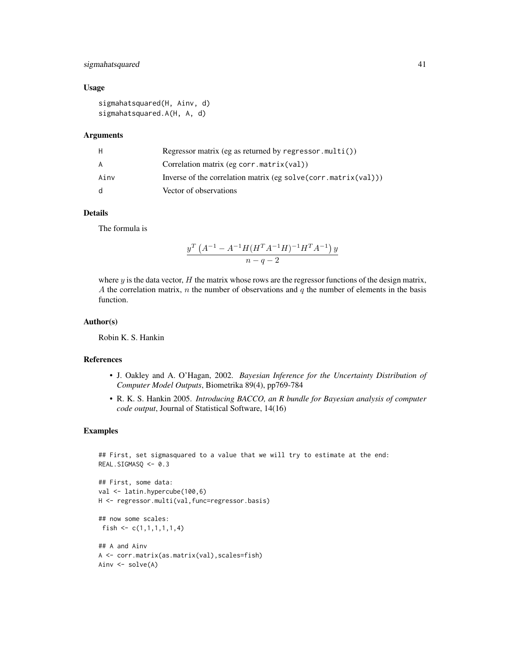# sigmahatsquared 41

# Usage

sigmahatsquared(H, Ainv, d) sigmahatsquared.A(H, A, d)

#### Arguments

| H            | Regressor matrix (eg as returned by regressor.multi())         |
|--------------|----------------------------------------------------------------|
| A            | Correlation matrix (eg corr.matrix(val))                       |
| Ainv         | Inverse of the correlation matrix (eg solve(corr.matrix(val))) |
| <sub>d</sub> | Vector of observations                                         |

#### Details

The formula is

$$
\frac{y^T \left(A^{-1} - A^{-1} H (H^T A^{-1} H)^{-1} H^T A^{-1}\right) y}{n - q - 2}
$$

where  $y$  is the data vector,  $H$  the matrix whose rows are the regressor functions of the design matrix, A the correlation matrix,  $n$  the number of observations and  $q$  the number of elements in the basis function.

# Author(s)

Robin K. S. Hankin

# References

- J. Oakley and A. O'Hagan, 2002. *Bayesian Inference for the Uncertainty Distribution of Computer Model Outputs*, Biometrika 89(4), pp769-784
- R. K. S. Hankin 2005. *Introducing BACCO, an R bundle for Bayesian analysis of computer code output*, Journal of Statistical Software, 14(16)

# Examples

```
## First, set sigmasquared to a value that we will try to estimate at the end:
REAL.SIGMASQ <- 0.3
```

```
## First, some data:
val <- latin.hypercube(100,6)
H <- regressor.multi(val,func=regressor.basis)
```

```
## now some scales:
fish \leq c(1,1,1,1,1,1,4)
```

```
## A and Ainv
A <- corr.matrix(as.matrix(val),scales=fish)
Ainv <- solve(A)
```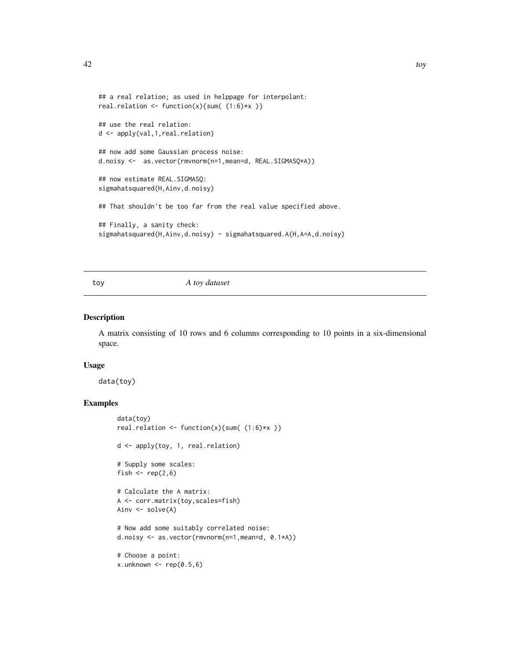```
## a real relation; as used in helppage for interpolant:
real.relation <- function(x){sum( (1:6)*x )}
## use the real relation:
d <- apply(val,1,real.relation)
## now add some Gaussian process noise:
d.noisy <- as.vector(rmvnorm(n=1,mean=d, REAL.SIGMASQ*A))
## now estimate REAL.SIGMASQ:
sigmahatsquared(H,Ainv,d.noisy)
## That shouldn't be too far from the real value specified above.
## Finally, a sanity check:
sigmahatsquared(H,Ainv,d.noisy) - sigmahatsquared.A(H,A=A,d.noisy)
```
toy *A toy dataset*

# Description

A matrix consisting of 10 rows and 6 columns corresponding to 10 points in a six-dimensional space.

#### Usage

data(toy)

# Examples

```
data(toy)
real.relation \leftarrow function(x){sum( (1:6)*x )}
d <- apply(toy, 1, real.relation)
# Supply some scales:
fish \leq rep(2,6)
# Calculate the A matrix:
A <- corr.matrix(toy,scales=fish)
Ainv <- solve(A)
# Now add some suitably correlated noise:
d.noisy <- as.vector(rmvnorm(n=1,mean=d, 0.1*A))
# Choose a point:
x.unknown \leq rep(0.5,6)
```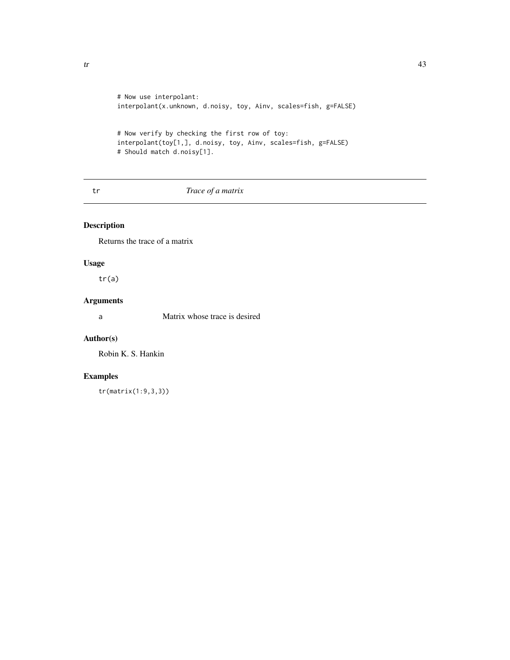```
# Now use interpolant:
interpolant(x.unknown, d.noisy, toy, Ainv, scales=fish, g=FALSE)
# Now verify by checking the first row of toy:
interpolant(toy[1,], d.noisy, toy, Ainv, scales=fish, g=FALSE)
# Should match d.noisy[1].
```
# tr *Trace of a matrix*

# Description

Returns the trace of a matrix

# Usage

tr(a)

#### Arguments

a Matrix whose trace is desired

# Author(s)

Robin K. S. Hankin

# Examples

tr(matrix(1:9,3,3))